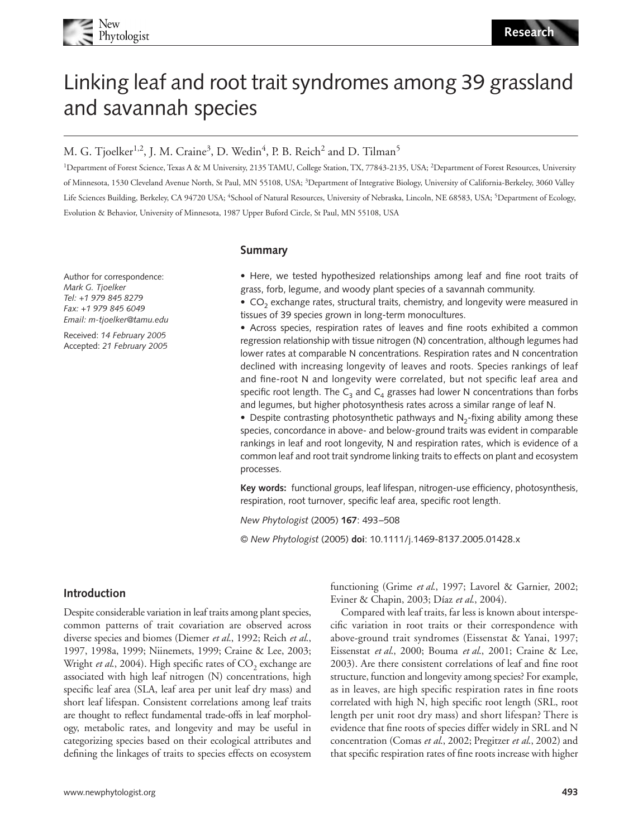

# Linking leaf and root trait syndromes among 39 grassland and savannah species

# M. G. Tjoelker<sup>1,2</sup>, J. M. Craine<sup>3</sup>, D. Wedin<sup>4</sup>, P. B. Reich<sup>2</sup> and D. Tilman<sup>5</sup>

<sup>1</sup>Department of Forest Science, Texas A & M University, 2135 TAMU, College Station, TX, 77843-2135, USA; <sup>2</sup>Department of Forest Resources, University of Minnesota, 1530 Cleveland Avenue North, St Paul, MN 55108, USA; <sup>3</sup>Department of Integrative Biology, University of California-Berkeley, 3060 Valley Life Sciences Building, Berkeley, CA 94720 USA; <sup>4</sup>School of Natural Resources, University of Nebraska, Lincoln, NE 68583, USA; <sup>5</sup>Department of Ecology, Evolution & Behavior, University of Minnesota, 1987 Upper Buford Circle, St Paul, MN 55108, USA

# **Summary**

Author for correspondence: *Mark G. Tjoelker Tel: +1 979 845 8279 Fax: +1 979 845 6049 Email: m-tjoelker@tamu.edu*

Received: *14 February 2005* Accepted: *21 February 2005* **•** Here, we tested hypothesized relationships among leaf and fine root traits of grass, forb, legume, and woody plant species of a savannah community.

• CO<sub>2</sub> exchange rates, structural traits, chemistry, and longevity were measured in tissues of 39 species grown in long-term monocultures.

**•** Across species, respiration rates of leaves and fine roots exhibited a common regression relationship with tissue nitrogen (N) concentration, although legumes had lower rates at comparable N concentrations. Respiration rates and N concentration declined with increasing longevity of leaves and roots. Species rankings of leaf and fine-root N and longevity were correlated, but not specific leaf area and specific root length. The  $C_3$  and  $C_4$  grasses had lower N concentrations than forbs and legumes, but higher photosynthesis rates across a similar range of leaf N.

• Despite contrasting photosynthetic pathways and N<sub>2</sub>-fixing ability among these species, concordance in above- and below-ground traits was evident in comparable rankings in leaf and root longevity, N and respiration rates, which is evidence of a common leaf and root trait syndrome linking traits to effects on plant and ecosystem processes.

**Key words:** functional groups, leaf lifespan, nitrogen-use efficiency, photosynthesis, respiration, root turnover, specific leaf area, specific root length.

*New Phytologist* (2005) **167**: 493–508

© *New Phytologist* (2005) **doi**: 10.1111/j.1469-8137.2005.01428.x

# **Introduction**

Despite considerable variation in leaf traits among plant species, common patterns of trait covariation are observed across diverse species and biomes (Diemer *et al*., 1992; Reich *et al*., 1997, 1998a, 1999; Niinemets, 1999; Craine & Lee, 2003; Wright *et al.*, 2004). High specific rates of CO<sub>2</sub> exchange are associated with high leaf nitrogen (N) concentrations, high specific leaf area (SLA, leaf area per unit leaf dry mass) and short leaf lifespan. Consistent correlations among leaf traits are thought to reflect fundamental trade-offs in leaf morphology, metabolic rates, and longevity and may be useful in categorizing species based on their ecological attributes and defining the linkages of traits to species effects on ecosystem functioning (Grime *et al*., 1997; Lavorel & Garnier, 2002; Eviner & Chapin, 2003; Díaz *et al*., 2004).

Compared with leaf traits, far less is known about interspecific variation in root traits or their correspondence with above-ground trait syndromes (Eissenstat & Yanai, 1997; Eissenstat *et al*., 2000; Bouma *et al*., 2001; Craine & Lee, 2003). Are there consistent correlations of leaf and fine root structure, function and longevity among species? For example, as in leaves, are high specific respiration rates in fine roots correlated with high N, high specific root length (SRL, root length per unit root dry mass) and short lifespan? There is evidence that fine roots of species differ widely in SRL and N concentration (Comas *et al*., 2002; Pregitzer *et al*., 2002) and that specific respiration rates of fine roots increase with higher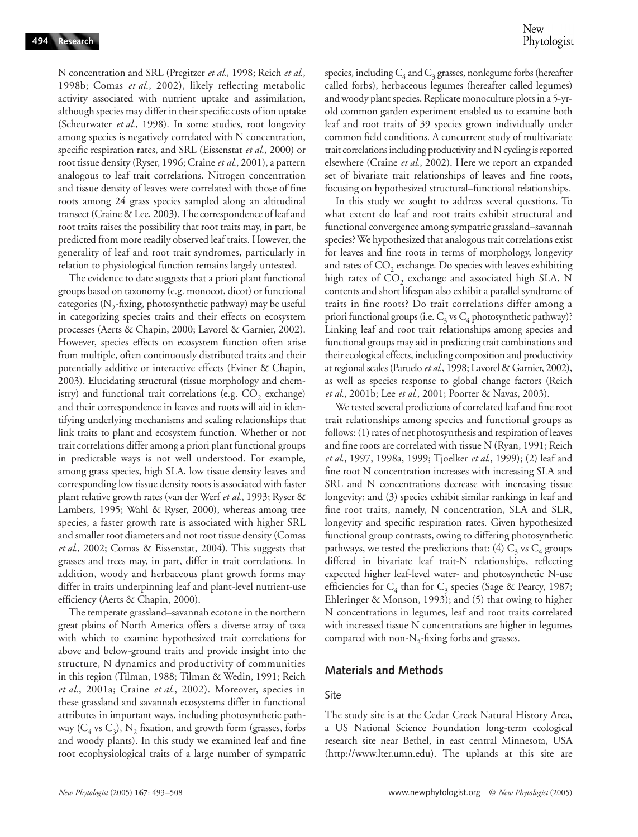N concentration and SRL (Pregitzer *et al*., 1998; Reich *et al*., 1998b; Comas *et al*., 2002), likely reflecting metabolic activity associated with nutrient uptake and assimilation, although species may differ in their specific costs of ion uptake (Scheurwater *et al*., 1998). In some studies, root longevity among species is negatively correlated with N concentration, specific respiration rates, and SRL (Eissenstat *et al*., 2000) or root tissue density (Ryser, 1996; Craine *et al*., 2001), a pattern analogous to leaf trait correlations. Nitrogen concentration and tissue density of leaves were correlated with those of fine roots among 24 grass species sampled along an altitudinal transect (Craine & Lee, 2003). The correspondence of leaf and root traits raises the possibility that root traits may, in part, be predicted from more readily observed leaf traits. However, the generality of leaf and root trait syndromes, particularly in relation to physiological function remains largely untested.

The evidence to date suggests that a priori plant functional groups based on taxonomy (e.g. monocot, dicot) or functional categories ( $N<sub>2</sub>$ -fixing, photosynthetic pathway) may be useful in categorizing species traits and their effects on ecosystem processes (Aerts & Chapin, 2000; Lavorel & Garnier, 2002). However, species effects on ecosystem function often arise from multiple, often continuously distributed traits and their potentially additive or interactive effects (Eviner & Chapin, 2003). Elucidating structural (tissue morphology and chemistry) and functional trait correlations (e.g.  $CO<sub>2</sub>$  exchange) and their correspondence in leaves and roots will aid in identifying underlying mechanisms and scaling relationships that link traits to plant and ecosystem function. Whether or not trait correlations differ among a priori plant functional groups in predictable ways is not well understood. For example, among grass species, high SLA, low tissue density leaves and corresponding low tissue density roots is associated with faster plant relative growth rates (van der Werf *et al*., 1993; Ryser & Lambers, 1995; Wahl & Ryser, 2000), whereas among tree species, a faster growth rate is associated with higher SRL and smaller root diameters and not root tissue density (Comas *et al*., 2002; Comas & Eissenstat, 2004). This suggests that grasses and trees may, in part, differ in trait correlations. In addition, woody and herbaceous plant growth forms may differ in traits underpinning leaf and plant-level nutrient-use efficiency (Aerts & Chapin, 2000).

The temperate grassland–savannah ecotone in the northern great plains of North America offers a diverse array of taxa with which to examine hypothesized trait correlations for above and below-ground traits and provide insight into the structure, N dynamics and productivity of communities in this region (Tilman, 1988; Tilman & Wedin, 1991; Reich *et al*., 2001a; Craine *et al*., 2002). Moreover, species in these grassland and savannah ecosystems differ in functional attributes in important ways, including photosynthetic pathway ( $C_4$  vs  $C_3$ ), N<sub>2</sub> fixation, and growth form (grasses, forbs and woody plants). In this study we examined leaf and fine root ecophysiological traits of a large number of sympatric species, including  $C_4$  and  $C_3$  grasses, nonlegume forbs (hereafter called forbs), herbaceous legumes (hereafter called legumes) and woody plant species. Replicate monoculture plots in a 5-yrold common garden experiment enabled us to examine both leaf and root traits of 39 species grown individually under common field conditions. A concurrent study of multivariate trait correlations including productivity and N cycling is reported elsewhere (Craine *et al*., 2002). Here we report an expanded set of bivariate trait relationships of leaves and fine roots, focusing on hypothesized structural–functional relationships.

In this study we sought to address several questions. To what extent do leaf and root traits exhibit structural and functional convergence among sympatric grassland–savannah species? We hypothesized that analogous trait correlations exist for leaves and fine roots in terms of morphology, longevity and rates of  $CO<sub>2</sub>$  exchange. Do species with leaves exhibiting high rates of  $CO<sub>2</sub>$  exchange and associated high SLA, N contents and short lifespan also exhibit a parallel syndrome of traits in fine roots? Do trait correlations differ among a priori functional groups (i.e.  $C_3$  vs  $C_4$  photosynthetic pathway)? Linking leaf and root trait relationships among species and functional groups may aid in predicting trait combinations and their ecological effects, including composition and productivity at regional scales (Paruelo *et al*., 1998; Lavorel & Garnier, 2002), as well as species response to global change factors (Reich *et al*., 2001b; Lee *et al*., 2001; Poorter & Navas, 2003).

We tested several predictions of correlated leaf and fine root trait relationships among species and functional groups as follows: (1) rates of net photosynthesis and respiration of leaves and fine roots are correlated with tissue N (Ryan, 1991; Reich *et al*., 1997, 1998a, 1999; Tjoelker *et al*., 1999); (2) leaf and fine root N concentration increases with increasing SLA and SRL and N concentrations decrease with increasing tissue longevity; and (3) species exhibit similar rankings in leaf and fine root traits, namely, N concentration, SLA and SLR, longevity and specific respiration rates. Given hypothesized functional group contrasts, owing to differing photosynthetic pathways, we tested the predictions that: (4)  $C_3$  vs  $C_4$  groups differed in bivariate leaf trait-N relationships, reflecting expected higher leaf-level water- and photosynthetic N-use efficiencies for  $C_4$  than for  $C_3$  species (Sage & Pearcy, 1987; Ehleringer & Monson, 1993); and (5) that owing to higher N concentrations in legumes, leaf and root traits correlated with increased tissue N concentrations are higher in legumes compared with non- $N<sub>2</sub>$ -fixing forbs and grasses.

# **Materials and Methods**

#### Site

The study site is at the Cedar Creek Natural History Area, a US National Science Foundation long-term ecological research site near Bethel, in east central Minnesota, USA (http://www.lter.umn.edu). The uplands at this site are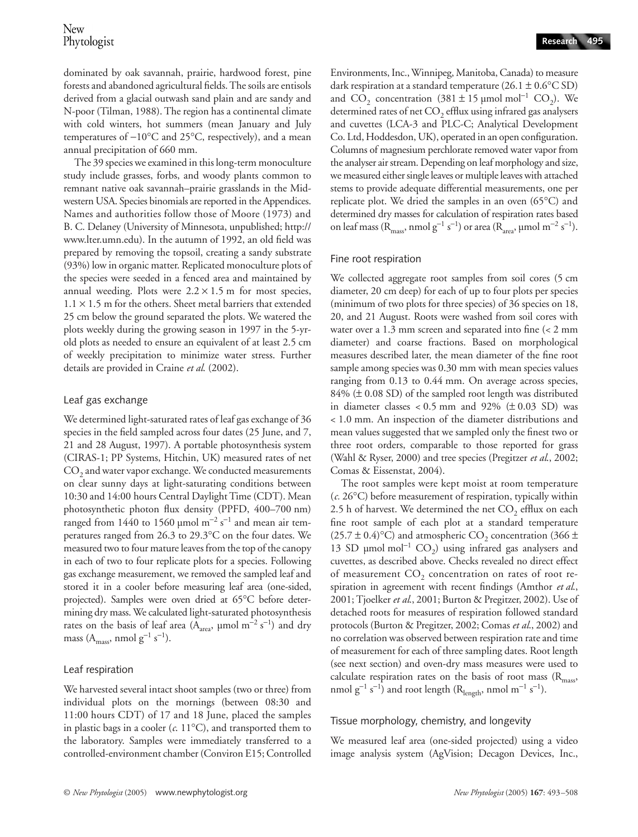dominated by oak savannah, prairie, hardwood forest, pine forests and abandoned agricultural fields. The soils are entisols derived from a glacial outwash sand plain and are sandy and N-poor (Tilman, 1988). The region has a continental climate with cold winters, hot summers (mean January and July temperatures of −10°C and 25°C, respectively), and a mean annual precipitation of 660 mm.

The 39 species we examined in this long-term monoculture study include grasses, forbs, and woody plants common to remnant native oak savannah–prairie grasslands in the Midwestern USA. Species binomials are reported in the Appendices. Names and authorities follow those of Moore (1973) and B. C. Delaney (University of Minnesota, unpublished; http:// www.lter.umn.edu). In the autumn of 1992, an old field was prepared by removing the topsoil, creating a sandy substrate (93%) low in organic matter. Replicated monoculture plots of the species were seeded in a fenced area and maintained by annual weeding. Plots were  $2.2 \times 1.5$  m for most species,  $1.1 \times 1.5$  m for the others. Sheet metal barriers that extended 25 cm below the ground separated the plots. We watered the plots weekly during the growing season in 1997 in the 5-yrold plots as needed to ensure an equivalent of at least 2.5 cm of weekly precipitation to minimize water stress. Further details are provided in Craine *et al*. (2002).

# Leaf gas exchange

We determined light-saturated rates of leaf gas exchange of 36 species in the field sampled across four dates (25 June, and 7, 21 and 28 August, 1997). A portable photosynthesis system (CIRAS-1; PP Systems, Hitchin, UK) measured rates of net CO<sub>2</sub> and water vapor exchange. We conducted measurements on clear sunny days at light-saturating conditions between 10:30 and 14:00 hours Central Daylight Time (CDT). Mean photosynthetic photon flux density (PPFD, 400–700 nm) ranged from 1440 to 1560 µmol m<sup>-2</sup> s<sup>-1</sup> and mean air temperatures ranged from 26.3 to 29.3°C on the four dates. We measured two to four mature leaves from the top of the canopy in each of two to four replicate plots for a species. Following gas exchange measurement, we removed the sampled leaf and stored it in a cooler before measuring leaf area (one-sided, projected). Samples were oven dried at 65°C before determining dry mass. We calculated light-saturated photosynthesis rates on the basis of leaf area ( $A<sub>area</sub>$ , µmol m<sup>-2</sup> s<sup>-1</sup>) and dry mass (A<sub>mass</sub>, nmol  $g^{-1}$  s<sup>-1</sup>).

# Leaf respiration

We harvested several intact shoot samples (two or three) from individual plots on the mornings (between 08:30 and 11:00 hours CDT) of 17 and 18 June, placed the samples in plastic bags in a cooler  $(c. 11^{\circ}C)$ , and transported them to the laboratory. Samples were immediately transferred to a controlled-environment chamber (Conviron E15; Controlled Environments, Inc., Winnipeg, Manitoba, Canada) to measure dark respiration at a standard temperature (26.1  $\pm$  0.6°C SD) and CO<sub>2</sub> concentration (381 ± 15 µmol mol<sup>-1</sup> CO<sub>2</sub>). We determined rates of net  $CO<sub>2</sub>$  efflux using infrared gas analysers and cuvettes (LCA-3 and PLC-C; Analytical Development Co. Ltd, Hoddesdon, UK), operated in an open configuration. Columns of magnesium perchlorate removed water vapor from the analyser air stream. Depending on leaf morphology and size, we measured either single leaves or multiple leaves with attached stems to provide adequate differential measurements, one per replicate plot. We dried the samples in an oven (65°C) and determined dry masses for calculation of respiration rates based on leaf mass ( $R_{mass}$ , nmol  $g^{-1} s^{-1}$ ) or area ( $R_{area}$ , µmol m<sup>-2</sup> s<sup>-1</sup>).

# Fine root respiration

We collected aggregate root samples from soil cores (5 cm diameter, 20 cm deep) for each of up to four plots per species (minimum of two plots for three species) of 36 species on 18, 20, and 21 August. Roots were washed from soil cores with water over a 1.3 mm screen and separated into fine (< 2 mm diameter) and coarse fractions. Based on morphological measures described later, the mean diameter of the fine root sample among species was 0.30 mm with mean species values ranging from 0.13 to 0.44 mm. On average across species, 84% (± 0.08 SD) of the sampled root length was distributed in diameter classes  $< 0.5$  mm and 92% ( $\pm 0.03$  SD) was < 1.0 mm. An inspection of the diameter distributions and mean values suggested that we sampled only the finest two or three root orders, comparable to those reported for grass (Wahl & Ryser, 2000) and tree species (Pregitzer *et al*., 2002; Comas & Eissenstat, 2004).

The root samples were kept moist at room temperature (*c.* 26°C) before measurement of respiration, typically within 2.5 h of harvest. We determined the net  $CO<sub>2</sub>$  efflux on each fine root sample of each plot at a standard temperature  $(25.7 \pm 0.4)$ °C) and atmospheric CO<sub>2</sub> concentration (366 ± 13 SD µmol mol<sup>-1</sup> CO<sub>2</sub>) using infrared gas analysers and cuvettes, as described above. Checks revealed no direct effect of measurement  $CO<sub>2</sub>$  concentration on rates of root respiration in agreement with recent findings (Amthor *et al*., 2001; Tjoelker *et al*., 2001; Burton & Pregitzer, 2002). Use of detached roots for measures of respiration followed standard protocols (Burton & Pregitzer, 2002; Comas *et al*., 2002) and no correlation was observed between respiration rate and time of measurement for each of three sampling dates. Root length (see next section) and oven-dry mass measures were used to calculate respiration rates on the basis of root mass  $(R_{\text{max}})$ nmol  $g^{-1} s^{-1}$ ) and root length ( $R_{length}$ , nmol m<sup>-1</sup> s<sup>-1</sup>).

# Tissue morphology, chemistry, and longevity

We measured leaf area (one-sided projected) using a video image analysis system (AgVision; Decagon Devices, Inc.,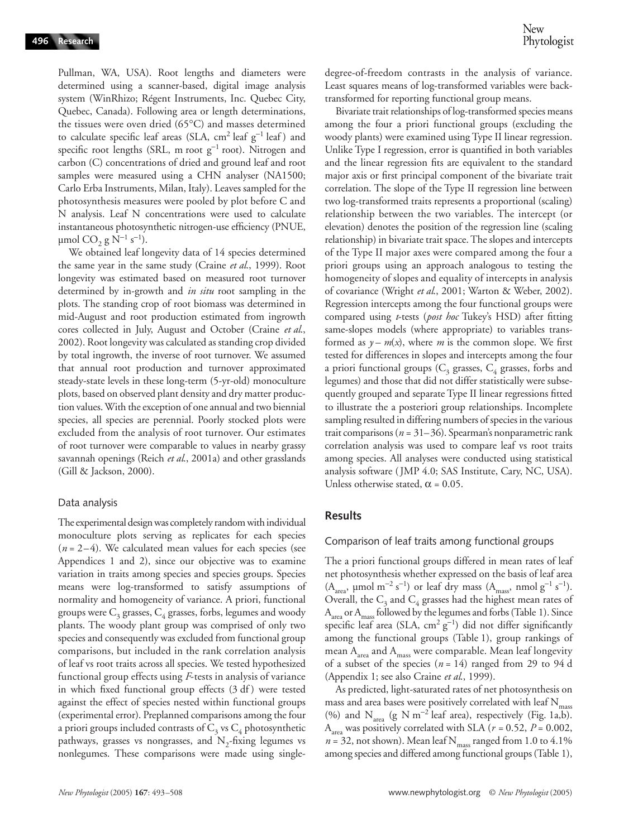Pullman, WA, USA). Root lengths and diameters were determined using a scanner-based, digital image analysis system (WinRhizo; Régent Instruments, Inc. Quebec City, Quebec, Canada). Following area or length determinations, the tissues were oven dried (65°C) and masses determined to calculate specific leaf areas (SLA, cm<sup>2</sup> leaf g<sup>-1</sup> leaf) and specific root lengths (SRL, m root g<sup>-1</sup> root). Nitrogen and carbon (C) concentrations of dried and ground leaf and root samples were measured using a CHN analyser (NA1500; Carlo Erba Instruments, Milan, Italy). Leaves sampled for the photosynthesis measures were pooled by plot before C and N analysis. Leaf N concentrations were used to calculate instantaneous photosynthetic nitrogen-use efficiency (PNUE,  $\mu$ mol CO<sub>2</sub> g N<sup>-1</sup> s<sup>-1</sup>).

We obtained leaf longevity data of 14 species determined the same year in the same study (Craine *et al*., 1999). Root longevity was estimated based on measured root turnover determined by in-growth and *in situ* root sampling in the plots. The standing crop of root biomass was determined in mid-August and root production estimated from ingrowth cores collected in July, August and October (Craine *et al*., 2002). Root longevity was calculated as standing crop divided by total ingrowth, the inverse of root turnover. We assumed that annual root production and turnover approximated steady-state levels in these long-term (5-yr-old) monoculture plots, based on observed plant density and dry matter production values. With the exception of one annual and two biennial species, all species are perennial. Poorly stocked plots were excluded from the analysis of root turnover. Our estimates of root turnover were comparable to values in nearby grassy savannah openings (Reich *et al*., 2001a) and other grasslands (Gill & Jackson, 2000).

#### Data analysis

The experimental design was completely random with individual monoculture plots serving as replicates for each species  $(n = 2-4)$ . We calculated mean values for each species (see Appendices 1 and 2), since our objective was to examine variation in traits among species and species groups. Species means were log-transformed to satisfy assumptions of normality and homogeneity of variance. A priori, functional groups were  $C_3$  grasses,  $C_4$  grasses, forbs, legumes and woody plants. The woody plant group was comprised of only two species and consequently was excluded from functional group comparisons, but included in the rank correlation analysis of leaf vs root traits across all species. We tested hypothesized functional group effects using *F*-tests in analysis of variance in which fixed functional group effects (3 df) were tested against the effect of species nested within functional groups (experimental error). Preplanned comparisons among the four a priori groups included contrasts of  $C_3$  vs  $C_4$  photosynthetic pathways, grasses vs nongrasses, and  $N<sub>2</sub>$ -fixing legumes vs nonlegumes. These comparisons were made using singledegree-of-freedom contrasts in the analysis of variance. Least squares means of log-transformed variables were backtransformed for reporting functional group means.

Bivariate trait relationships of log-transformed species means among the four a priori functional groups (excluding the woody plants) were examined using Type II linear regression. Unlike Type I regression, error is quantified in both variables and the linear regression fits are equivalent to the standard major axis or first principal component of the bivariate trait correlation. The slope of the Type II regression line between two log-transformed traits represents a proportional (scaling) relationship between the two variables. The intercept (or elevation) denotes the position of the regression line (scaling relationship) in bivariate trait space. The slopes and intercepts of the Type II major axes were compared among the four a priori groups using an approach analogous to testing the homogeneity of slopes and equality of intercepts in analysis of covariance (Wright *et al*., 2001; Warton & Weber, 2002). Regression intercepts among the four functional groups were compared using *t*-tests (*post hoc* Tukey's HSD) after fitting same-slopes models (where appropriate) to variables transformed as  $y - m(x)$ , where *m* is the common slope. We first tested for differences in slopes and intercepts among the four a priori functional groups ( $C_3$  grasses,  $C_4$  grasses, forbs and legumes) and those that did not differ statistically were subsequently grouped and separate Type II linear regressions fitted to illustrate the a posteriori group relationships. Incomplete sampling resulted in differing numbers of species in the various trait comparisons ( $n = 31-36$ ). Spearman's nonparametric rank correlation analysis was used to compare leaf vs root traits among species. All analyses were conducted using statistical analysis software ( JMP 4.0; SAS Institute, Cary, NC, USA). Unless otherwise stated,  $\alpha$  = 0.05.

# **Results**

#### Comparison of leaf traits among functional groups

The a priori functional groups differed in mean rates of leaf net photosynthesis whether expressed on the basis of leaf area (A<sub>area</sub>, µmol m<sup>-2</sup> s<sup>-1</sup>) or leaf dry mass (A<sub>mass</sub>, nmol g<sup>-1</sup> s<sup>-1</sup>). Overall, the  $C_3$  and  $C_4$  grasses had the highest mean rates of A<sub>area</sub> or A<sub>mass</sub> followed by the legumes and forbs (Table 1). Since specific leaf area (SLA, cm<sup>2</sup>  $g^{-1}$ ) did not differ significantly among the functional groups (Table 1), group rankings of mean  $A_{area}$  and  $A_{mass}$  were comparable. Mean leaf longevity of a subset of the species  $(n = 14)$  ranged from 29 to 94 d (Appendix 1; see also Craine *et al*., 1999).

As predicted, light-saturated rates of net photosynthesis on mass and area bases were positively correlated with leaf  $\rm N_{mass}$ (%) and  $N_{area}$  (g N m<sup>-2</sup> leaf area), respectively (Fig. 1a,b).  $A<sub>area</sub>$  was positively correlated with SLA ( $r = 0.52$ ,  $P = 0.002$ ,  $n = 32$ , not shown). Mean leaf N<sub>mass</sub> ranged from 1.0 to 4.1% among species and differed among functional groups (Table 1),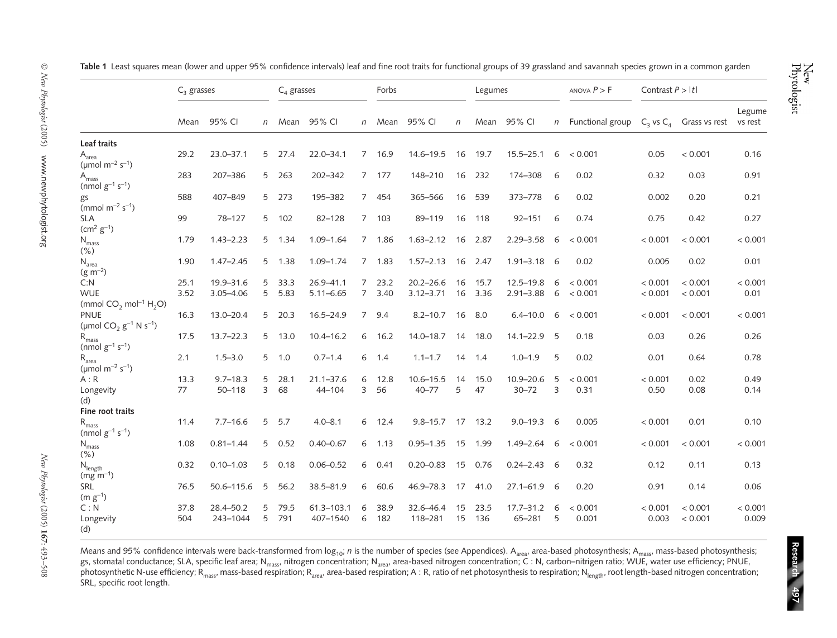|                                                             | $C3$ grasses |               |              | $C_{A}$ grasses |                |             | Forbs     |               |        | Legumes |                 |     | ANOVA $P > F$        | Contrast $P >  t $ |                              |                   |
|-------------------------------------------------------------|--------------|---------------|--------------|-----------------|----------------|-------------|-----------|---------------|--------|---------|-----------------|-----|----------------------|--------------------|------------------------------|-------------------|
|                                                             | Mean         | 95% CI        | $\mathsf{n}$ | Mean            | 95% CI         |             | n Mean    | 95% CI        | $\eta$ | Mean    | 95% CI          |     | $n$ Functional group |                    | $C_3$ vs $C_4$ Grass vs rest | Legume<br>vs rest |
| Leaf traits                                                 |              |               |              |                 |                |             |           |               |        |         |                 |     |                      |                    |                              |                   |
| $A_{area}$<br>( $\mu$ mol m <sup>-2</sup> s <sup>-1</sup> ) | 29.2         | $23.0 - 37.1$ |              | 5 27.4          | $22.0 - 34.1$  |             | 7 16.9    | $14.6 - 19.5$ | 16     | 19.7    | $15.5 - 25.1$   | 6   | < 0.001              | 0.05               | < 0.001                      | 0.16              |
| A <sub>mass</sub><br>(nmol $g^{-1}$ s <sup>-1</sup> )       | 283          | 207-386       | 5            | 263             | 202-342        |             | 7 177     | 148-210       | 16     | 232     | 174-308         | 6   | 0.02                 | 0.32               | 0.03                         | 0.91              |
| gs<br>(mmol $m^{-2} s^{-1}$ )                               | 588          | 407-849       |              | 5 273           | 195-382        |             | 7 454     | 365-566       | 16     | 539     | 373-778         | - 6 | 0.02                 | 0.002              | 0.20                         | 0.21              |
| <b>SLA</b><br>$(cm2 g-1)$                                   | 99           | 78-127        |              | 5 102           | $82 - 128$     | $7^{\circ}$ | 103       | 89-119        | 16     | 118     | $92 - 151$      | 6   | 0.74                 | 0.75               | 0.42                         | 0.27              |
| $\rm N_{mass}$<br>$(\% )$                                   | 1.79         | $1.43 - 2.23$ |              | 5 1.34          | $1.09 - 1.64$  |             | 7 1.86    | $1.63 - 2.12$ | 16     | 2.87    | $2.29 - 3.58$   | 6   | < 0.001              | < 0.001            | < 0.001                      | < 0.001           |
| $N_{area}$<br>$(g m^{-2})$                                  | 1.90         | $1.47 - 2.45$ |              | 5 1.38          | $1.09 - 1.74$  |             | 7, 1.83   | $1.57 - 2.13$ | 16     | 2.47    | $1.91 - 3.18$   | - 6 | 0.02                 | 0.005              | 0.02                         | 0.01              |
| C: N                                                        | 25.1         | 19.9-31.6     | 5            | 33.3            | 26.9-41.1      |             | 723.2     | $20.2 - 26.6$ | 16     | 15.7    | $12.5 - 19.8$   | 6   | < 0.001              | < 0.001            | < 0.001                      | < 0.001           |
| <b>WUE</b>                                                  | 3.52         | $3.05 - 4.06$ | 5            | 5.83            | $5.11 - 6.65$  | $7^{\circ}$ | 3.40      | $3.12 - 3.71$ | 16     | 3.36    | $2.91 - 3.88$   | 6   | < 0.001              | < 0.001            | < 0.001                      | 0.01              |
| (mmol $CO2$ mol <sup>-1</sup> H <sub>2</sub> O)             |              |               |              |                 |                |             |           |               |        |         |                 |     |                      |                    |                              |                   |
| <b>PNUE</b>                                                 | 16.3         | $13.0 - 20.4$ | 5            | 20.3            | $16.5 - 24.9$  |             | 7 9.4     | $8.2 - 10.7$  | 16     | 8.0     | $6.4 - 10.0$    | 6   | < 0.001              | < 0.001            | < 0.001                      | < 0.001           |
| (µmol $CO_2$ $g^{-1}$ N $s^{-1}$ )                          |              |               |              |                 |                |             |           |               |        |         |                 |     |                      |                    |                              |                   |
| $R_{mass}$<br>(nmol $g^{-1}$ s <sup>-1</sup> )              | 17.5         | $13.7 - 22.3$ |              | 5 13.0          | $10.4 - 16.2$  | 6           | 16.2      | $14.0 - 18.7$ | 14     | 18.0    | $14.1 - 22.9$   | - 5 | 0.18                 | 0.03               | 0.26                         | 0.26              |
| $R_{area}$<br>( $\mu$ mol m <sup>-2</sup> s <sup>-1</sup> ) | 2.1          | $1.5 - 3.0$   |              | $5 - 1.0$       | $0.7 - 1.4$    |             | $6 \t1.4$ | $1.1 - 1.7$   | 14     | 1.4     | $1.0 - 1.9$     | 5   | 0.02                 | 0.01               | 0.64                         | 0.78              |
| A:R                                                         | 13.3         | $9.7 - 18.3$  | 5            | 28.1            | $21.1 - 37.6$  | 6           | 12.8      | $10.6 - 15.5$ | 14     | 15.0    | 10.9-20.6       | 5   | < 0.001              | < 0.001            | 0.02                         | 0.49              |
| Longevity<br>(d)                                            | 77           | $50 - 118$    | 3            | 68              | 44-104         | 3           | 56        | $40 - 77$     | 5      | 47      | $30 - 72$       | 3   | 0.31                 | 0.50               | 0.08                         | 0.14              |
| Fine root traits                                            |              |               |              |                 |                |             |           |               |        |         |                 |     |                      |                    |                              |                   |
| $\rm R_{mass}$<br>(nmol $g^{-1}$ s <sup>-1</sup> )          | 11.4         | $7.7 - 16.6$  | 5            | 5.7             | $4.0 - 8.1$    | 6           | 12.4      | $9.8 - 15.7$  |        | 17 13.2 | $9.0 - 19.3$ 6  |     | 0.005                | < 0.001            | 0.01                         | 0.10              |
| $N_{mass}$<br>(% )                                          | 1.08         | $0.81 - 1.44$ | 5            | 0.52            | $0.40 - 0.67$  | 6           | 1.13      | $0.95 - 1.35$ | 15     | 1.99    | $1.49 - 2.64$   | 6   | < 0.001              | < 0.001            | < 0.001                      | < 0.001           |
| $N_{length}$<br>$(mg m^{-1})$                               | 0.32         | $0.10 - 1.03$ |              | 50.18           | $0.06 - 0.52$  | 6           | 0.41      | $0.20 - 0.83$ |        | 15 0.76 | $0.24 - 2.43$ 6 |     | 0.32                 | 0.12               | 0.11                         | 0.13              |
| SRL<br>$(m g^{-1})$                                         | 76.5         | 50.6-115.6    | 5            | 56.2            | 38.5-81.9      | 6           | 60.6      | 46.9-78.3     | 17     | 41.0    | $27.1 - 61.9$   | - 6 | 0.20                 | 0.91               | 0.14                         | 0.06              |
| C: N                                                        | 37.8         | 28.4-50.2     | 5            | 79.5            | $61.3 - 103.1$ | 6           | 38.9      | 32.6-46.4     | 15     | 23.5    | $17.7 - 31.2$   | 6   | < 0.001              | < 0.001            | < 0.001                      | < 0.001           |
| Longevity<br>(d)                                            | 504          | 243-1044      | 5            | 791             | 407-1540       | 6           | 182       | 118-281       | 15     | 136     | $65 - 281$      | 5   | 0.001                | 0.003              | < 0.001                      | 0.009             |

**Table 1** Least squares mean (lower and upper 95% confidence intervals) leaf and fine root traits for functional groups of 39 grassland and savannah species grown in a common garden

Means and 95% confidence intervals were back-transformed from log<sub>10</sub>; *n* is the number of species (see Appendices). A<sub>area</sub>, area-based photosynthesis; A<sub>mass</sub>, mass-based photosynthesis; gs, stomatal conductance; SLA, specific leaf area; N<sub>mass</sub>, nitrogen concentration; N<sub>area</sub>, area-based nitrogen concentration; C : N, carbon–nitrigen ratio; WUE, water use efficiency; PNUE, photosynthetic N-use efficiency; R<sub>mass</sub>, mass-based respiration; R<sub>area</sub>, area-based respiration; A : R, ratio of net photosynthesis to respiration; N<sub>length</sub>, root length-based nitrogen concentration; SRL, specific root length.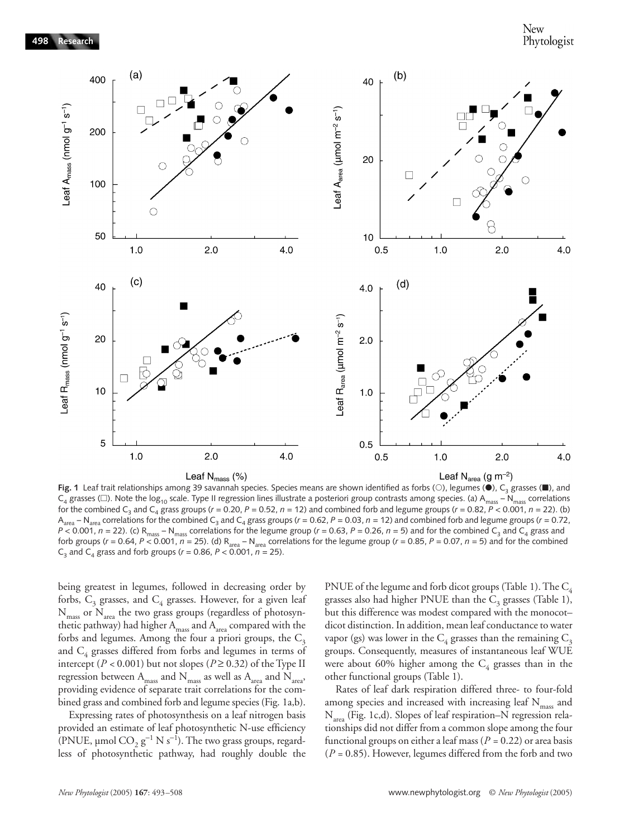

**Fig. 1** Leaf trait relationships among 39 savannah species. Species means are shown identified as forbs (○), legumes (●), C<sub>3</sub> grasses (■), and  $C_4$  grasses ( $\square$ ). Note the log<sub>10</sub> scale. Type II regression lines illustrate a posteriori group contrasts among species. (a) A<sub>mass</sub> – N<sub>mass</sub> correlations for the combined C<sub>3</sub> and C<sub>4</sub> grass groups ( $r = 0.20$ ,  $P = 0.52$ ,  $n = 12$ ) and combined forb and legume groups ( $r = 0.82$ ,  $P < 0.001$ ,  $n = 22$ ). (b) A<sub>area</sub> – N<sub>area</sub> correlations for the combined C<sub>3</sub> and C<sub>4</sub> grass groups (*r* = 0.62, *P* = 0.03, *n* = 12) and combined forb and legume groups (*r* = 0.72,  $P$  < 0.001,  $n = 22$ ). (c) R<sub>mass</sub> – N<sub>mass</sub> correlations for the legume group ( $r = 0.63$ ,  $P = 0.26$ ,  $n = 5$ ) and for the combined C<sub>3</sub> and C<sub>4</sub> grass and forb groups ( $r = 0.64$ ,  $P < 0.001$ ,  $n = 25$ ). (d)  $R_{area} - N_{area}$  correlations for the legume group ( $r = 0.85$ ,  $P = 0.07$ ,  $n = 5$ ) and for the combined  $C_3$  and  $C_4$  grass and forb groups ( $r = 0.86$ ,  $P < 0.001$ ,  $n = 25$ ).

being greatest in legumes, followed in decreasing order by forbs,  $C_3$  grasses, and  $C_4$  grasses. However, for a given leaf  $N_{\text{mass}}$  or  $N_{\text{area}}$  the two grass groups (regardless of photosynthetic pathway) had higher  $A<sub>mass</sub>$  and  $A<sub>area</sub>$  compared with the forbs and legumes. Among the four a priori groups, the  $C_3$ and  $C_4$  grasses differed from forbs and legumes in terms of intercept ( $P < 0.001$ ) but not slopes ( $P \ge 0.32$ ) of the Type II regression between  $\mathcal{A}_{\text{mass}}$  and  $\mathcal{N}_{\text{mass}}$  as well as  $\mathcal{A}_{\text{area}}$  and  $\mathcal{N}_{\text{area}}$ providing evidence of separate trait correlations for the combined grass and combined forb and legume species (Fig. 1a,b).

Expressing rates of photosynthesis on a leaf nitrogen basis provided an estimate of leaf photosynthetic N-use efficiency (PNUE, µmol  $\text{CO}_2$   $\text{g}^{-1}$  N s<sup>-1</sup>). The two grass groups, regardless of photosynthetic pathway, had roughly double the PNUE of the legume and forb dicot groups (Table 1). The  $C_4$ grasses also had higher PNUE than the  $C_3$  grasses (Table 1), but this difference was modest compared with the monocot– dicot distinction. In addition, mean leaf conductance to water vapor (gs) was lower in the  $C_4$  grasses than the remaining  $C_3$ groups. Consequently, measures of instantaneous leaf WUE were about 60% higher among the  $C_4$  grasses than in the other functional groups (Table 1).

Rates of leaf dark respiration differed three- to four-fold among species and increased with increasing leaf  $N_{\rm mass}$  and N<sub>area</sub> (Fig. 1c,d). Slopes of leaf respiration–N regression relationships did not differ from a common slope among the four functional groups on either a leaf mass (*P =* 0.22) or area basis (*P =* 0.85). However, legumes differed from the forb and two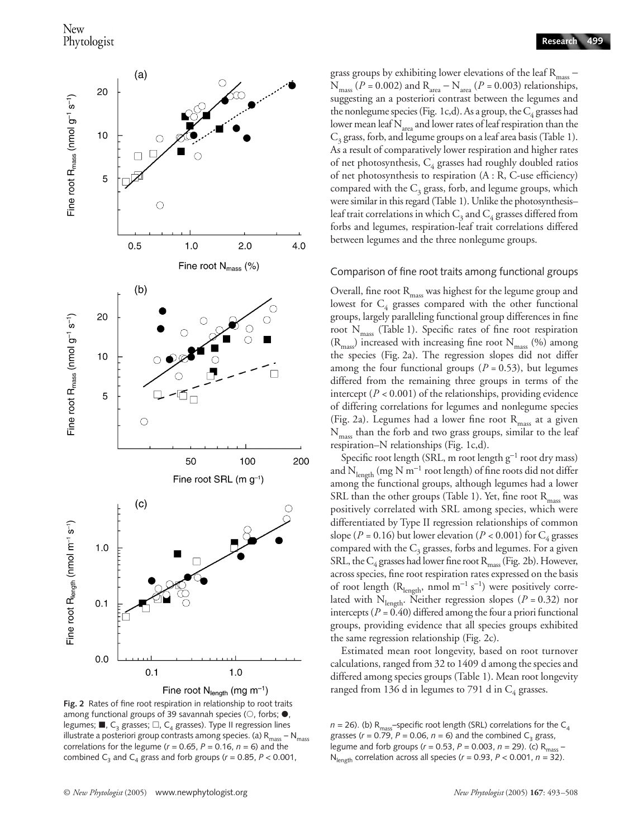

grass groups by exhibiting lower elevations of the leaf  $R_{\text{mass}}$  –  $N_{mass}$  ( $P = 0.002$ ) and  $R_{area} - N_{area}$  ( $P = 0.003$ ) relationships, suggesting an a posteriori contrast between the legumes and the nonlegume species (Fig. 1c,d). As a group, the  $C_4$  grasses had lower mean leaf  $N_{area}$  and lower rates of leaf respiration than the  $C_3$  grass, forb, and legume groups on a leaf area basis (Table 1). As a result of comparatively lower respiration and higher rates of net photosynthesis,  $C_4$  grasses had roughly doubled ratios of net photosynthesis to respiration (A : R, C-use efficiency) compared with the  $C_3$  grass, forb, and legume groups, which were similar in this regard (Table 1). Unlike the photosynthesisleaf trait correlations in which  $C_3$  and  $C_4$  grasses differed from forbs and legumes, respiration-leaf trait correlations differed between legumes and the three nonlegume groups.

#### Comparison of fine root traits among functional groups

Overall, fine root  $R_{mass}$  was highest for the legume group and lowest for  $C_4$  grasses compared with the other functional groups, largely paralleling functional group differences in fine root  $N_{\text{mass}}$  (Table 1). Specific rates of fine root respiration  $(R<sub>mass</sub>)$  increased with increasing fine root  $N<sub>mass</sub>$  (%) among the species (Fig. 2a). The regression slopes did not differ among the four functional groups  $(P = 0.53)$ , but legumes differed from the remaining three groups in terms of the intercept (*P <* 0.001) of the relationships, providing evidence of differing correlations for legumes and nonlegume species (Fig. 2a). Legumes had a lower fine root  $R_{mass}$  at a given  $N_{\rm mass}$  than the forb and two grass groups, similar to the leaf respiration–N relationships (Fig. 1c,d).

Specific root length (SRL, m root length g<sup>-1</sup> root dry mass) and  $\rm N_{length}$  (mg  $\rm N$  m $^{-1}$  root length) of fine roots did not differ among the functional groups, although legumes had a lower SRL than the other groups (Table 1). Yet, fine root  $R_{\text{mass}}$  was positively correlated with SRL among species, which were differentiated by Type II regression relationships of common slope ( $P = 0.16$ ) but lower elevation ( $P < 0.001$ ) for C<sub>4</sub> grasses compared with the  $C_3$  grasses, forbs and legumes. For a given SRL, the  $C_4$  grasses had lower fine root  $R_{\text{mass}}$  (Fig. 2b). However, across species, fine root respiration rates expressed on the basis of root length ( $R_{length}$ , nmol m<sup>-1</sup> s<sup>-1</sup>) were positively correlated with  $N<sub>length</sub>$ . Neither regression slopes ( $P = 0.32$ ) nor intercepts ( $P = 0.40$ ) differed among the four a priori functional groups, providing evidence that all species groups exhibited the same regression relationship (Fig. 2c).

Estimated mean root longevity, based on root turnover calculations, ranged from 32 to 1409 d among the species and differed among species groups (Table 1). Mean root longevity ranged from 136 d in legumes to 791 d in  $C_4$  grasses.

 $n = 26$ ). (b) R<sub>mass</sub>-specific root length (SRL) correlations for the C<sub>4</sub> grasses ( $r = 0.79$ ,  $P = 0.06$ ,  $n = 6$ ) and the combined C<sub>3</sub> grass, legume and forb groups (*r =* 0.53, *P* = 0.003, *n* = 29). (c) Rmass –  $N_{\text{length}}$  correlation across all species ( $r = 0.93$ ,  $P < 0.001$ ,  $n = 32$ ).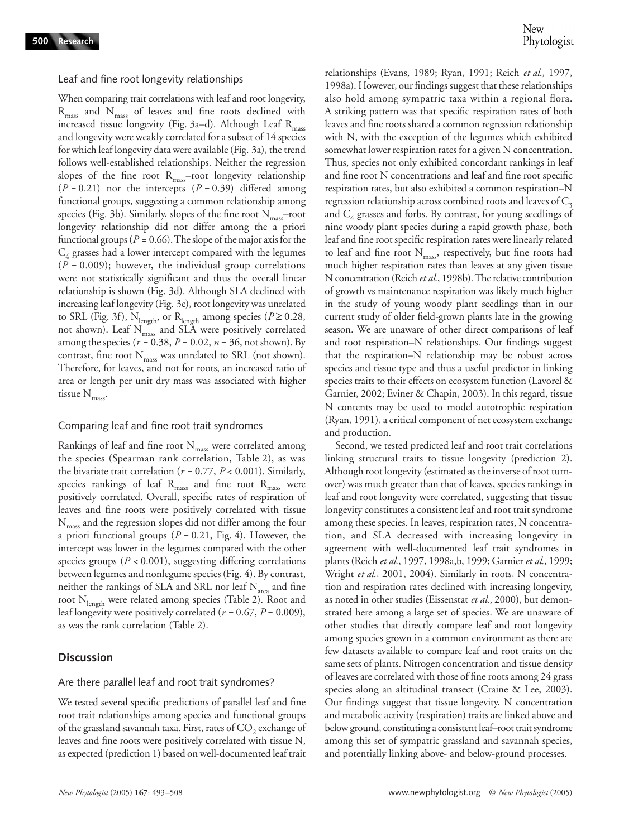Leaf and fine root longevity relationships

When comparing trait correlations with leaf and root longevity,  $R_{\text{mass}}$  and  $N_{\text{mass}}$  of leaves and fine roots declined with increased tissue longevity (Fig. 3a-d). Although Leaf  $R_{mass}$ and longevity were weakly correlated for a subset of 14 species for which leaf longevity data were available (Fig. 3a), the trend follows well-established relationships. Neither the regression slopes of the fine root  $R_{mass}$ -root longevity relationship (*P =* 0.21) nor the intercepts (*P =* 0.39) differed among functional groups, suggesting a common relationship among species (Fig. 3b). Similarly, slopes of the fine root  $N_{mass}$ –root longevity relationship did not differ among the a priori functional groups (*P =* 0.66). The slope of the major axis for the  $C_4$  grasses had a lower intercept compared with the legumes (*P =* 0.009); however, the individual group correlations were not statistically significant and thus the overall linear relationship is shown (Fig. 3d). Although SLA declined with increasing leaf longevity (Fig. 3e), root longevity was unrelated to SRL (Fig. 3f),  $N_{length}$ , or  $R_{length}$  among species ( $P \ge 0.28$ , not shown). Leaf N<sub>mass</sub> and SLA were positively correlated among the species (*r =* 0.38, *P* = 0.02, *n* = 36, not shown). By contrast, fine root  $N_{\text{mass}}$  was unrelated to SRL (not shown). Therefore, for leaves, and not for roots, an increased ratio of area or length per unit dry mass was associated with higher tissue  $N_{\rm{mass}}$ .

#### Comparing leaf and fine root trait syndromes

Rankings of leaf and fine root  $N_{\rm mass}$  were correlated among the species (Spearman rank correlation, Table 2), as was the bivariate trait correlation (*r =* 0.77, *P* < 0.001). Similarly, species rankings of leaf  $R_{\text{mass}}$  and fine root  $R_{\text{mass}}$  were positively correlated. Overall, specific rates of respiration of leaves and fine roots were positively correlated with tissue N<sub>mass</sub> and the regression slopes did not differ among the four a priori functional groups (*P =* 0.21, Fig. 4). However, the intercept was lower in the legumes compared with the other species groups (*P <* 0.001), suggesting differing correlations between legumes and nonlegume species (Fig. 4). By contrast, neither the rankings of SLA and SRL nor leaf  $N_{area}$  and fine root  $N_{\text{length}}$  were related among species (Table 2). Root and leaf longevity were positively correlated (*r =* 0.67, *P* = 0.009), as was the rank correlation (Table 2).

# **Discussion**

### Are there parallel leaf and root trait syndromes?

We tested several specific predictions of parallel leaf and fine root trait relationships among species and functional groups of the grassland savannah taxa. First, rates of  $CO<sub>2</sub>$  exchange of leaves and fine roots were positively correlated with tissue N, as expected (prediction 1) based on well-documented leaf trait

relationships (Evans, 1989; Ryan, 1991; Reich *et al*., 1997, 1998a). However, our findings suggest that these relationships also hold among sympatric taxa within a regional flora. A striking pattern was that specific respiration rates of both leaves and fine roots shared a common regression relationship with N, with the exception of the legumes which exhibited somewhat lower respiration rates for a given N concentration. Thus, species not only exhibited concordant rankings in leaf and fine root N concentrations and leaf and fine root specific respiration rates, but also exhibited a common respiration–N regression relationship across combined roots and leaves of  $C_3$ and  $C_4$  grasses and forbs. By contrast, for young seedlings of nine woody plant species during a rapid growth phase, both leaf and fine root specific respiration rates were linearly related to leaf and fine root  $N_{\text{mass}}$ , respectively, but fine roots had much higher respiration rates than leaves at any given tissue N concentration (Reich *et al*., 1998b). The relative contribution of growth vs maintenance respiration was likely much higher in the study of young woody plant seedlings than in our current study of older field-grown plants late in the growing season. We are unaware of other direct comparisons of leaf and root respiration–N relationships. Our findings suggest that the respiration–N relationship may be robust across species and tissue type and thus a useful predictor in linking species traits to their effects on ecosystem function (Lavorel & Garnier, 2002; Eviner & Chapin, 2003). In this regard, tissue N contents may be used to model autotrophic respiration (Ryan, 1991), a critical component of net ecosystem exchange and production.

Second, we tested predicted leaf and root trait correlations linking structural traits to tissue longevity (prediction 2). Although root longevity (estimated as the inverse of root turnover) was much greater than that of leaves, species rankings in leaf and root longevity were correlated, suggesting that tissue longevity constitutes a consistent leaf and root trait syndrome among these species. In leaves, respiration rates, N concentration, and SLA decreased with increasing longevity in agreement with well-documented leaf trait syndromes in plants (Reich *et al*., 1997, 1998a,b, 1999; Garnier *et al*., 1999; Wright *et al*., 2001, 2004). Similarly in roots, N concentration and respiration rates declined with increasing longevity, as noted in other studies (Eissenstat *et al*., 2000), but demonstrated here among a large set of species. We are unaware of other studies that directly compare leaf and root longevity among species grown in a common environment as there are few datasets available to compare leaf and root traits on the same sets of plants. Nitrogen concentration and tissue density of leaves are correlated with those of fine roots among 24 grass species along an altitudinal transect (Craine & Lee, 2003). Our findings suggest that tissue longevity, N concentration and metabolic activity (respiration) traits are linked above and below ground, constituting a consistent leaf–root trait syndrome among this set of sympatric grassland and savannah species, and potentially linking above- and below-ground processes.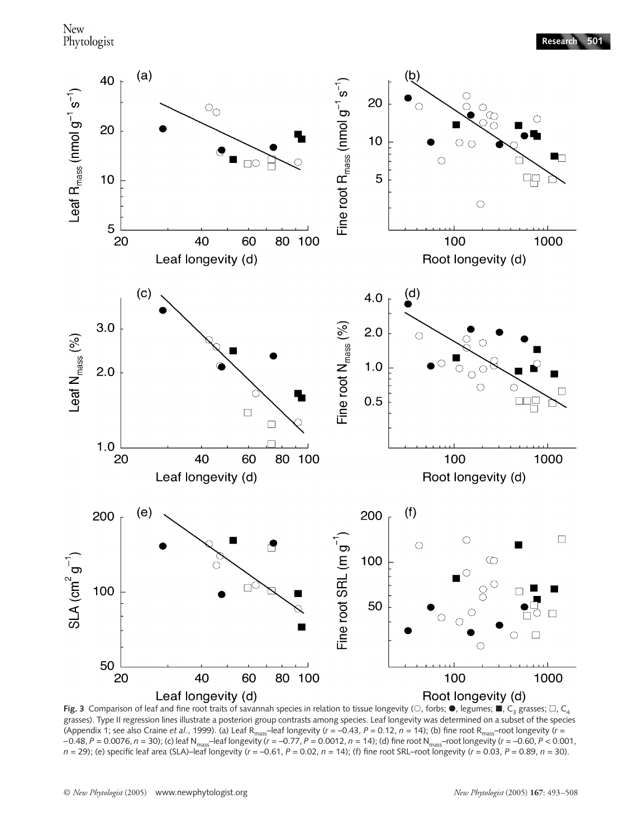

**Fig. 3** Comparison of leaf and fine root traits of savannah species in relation to tissue longevity ( $\circ$ , forbs;  $\bullet$ , legumes;  $\blacksquare$ , C<sub>3</sub> grasses;  $\Box$ , C<sub>4</sub> grasses). Type II regression lines illustrate a posteriori group contrasts among species. Leaf longevity was determined on a subset of the species (Appendix 1; see also Craine *et al*., 1999). (a) Leaf Rmass–leaf longevity (*r = –*0.43, *P* = 0.12, *n* = 14); (b) fine root Rmass–root longevity (*r = –*0.48, *P* = 0.0076, *n* = 30); (c) leaf Nmass–leaf longevity (*r = –*0.77, *P* = 0.0012, *n* = 14); (d) fine root Nmass–root longevity (*r = –*0.60, *P* < 0.001,  $n = 29$ ; (e) specific leaf area (SLA)–leaf longevity ( $r = -0.61$ ,  $P = 0.02$ ,  $n = 14$ ); (f) fine root SRL–root longevity ( $r = 0.03$ ,  $P = 0.89$ ,  $n = 30$ ).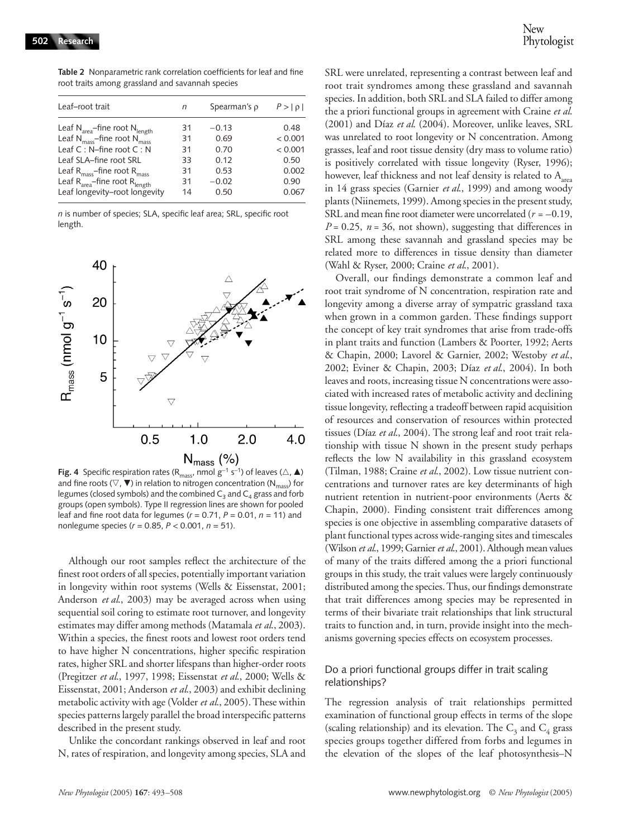Leaf–root trait *n* Spearman's ρ *P* > | ρ | Leaf  $N_{area}$ –fine root  $N_{length}$  31 – 0.13 0.48<br>
Leaf  $N_{mass}$ –fine root  $N_{mass}$  31 0.69 < 0.001 Leaf N<sub>mass</sub>–fine root N<sub>mass</sub>  $31$  0.69  $<$  0.001 Leaf C : N–fine root C : N 31 0.70 < 0.001 Leaf SLA–fine root SRL 33 0.12 0.50

Leaf  $R_{mass}$ -fine root  $R_{mass}$  31 0.53 0.002<br>
Leaf  $R_{mean}$ -fine root  $R_{beam}$  31 -0.02 0.90 Leaf  $R_{area}$ –fine root  $R_{length}$  31  $-0.02$  0.90<br>
Leaf longevity–root longevity 14 0.50 0.067

**Table 2** Nonparametric rank correlation coefficients for leaf and fine root traits among grassland and savannah species

*n* is number of species; SLA, specific leaf area; SRL, specific root length.

Leaf longevity–root longevity



**Fig. 4** Specific respiration rates (R<sub>mass</sub>, nmol  $g^{-1}$  s<sup>-1</sup>) of leaves ( $\triangle$ , **△**) and fine roots ( $\nabla$ ,  $\nabla$ ) in relation to nitrogen concentration (N<sub>mass</sub>) for legumes (closed symbols) and the combined  $C_3$  and  $C_4$  grass and forb groups (open symbols). Type II regression lines are shown for pooled leaf and fine root data for legumes (*r =* 0.71, *P* = 0.01, *n* = 11) and nonlegume species (*r =* 0.85, *P* < 0.001, *n* = 51).

Although our root samples reflect the architecture of the finest root orders of all species, potentially important variation in longevity within root systems (Wells & Eissenstat, 2001; Anderson *et al*., 2003) may be averaged across when using sequential soil coring to estimate root turnover, and longevity estimates may differ among methods (Matamala *et al*., 2003). Within a species, the finest roots and lowest root orders tend to have higher N concentrations, higher specific respiration rates, higher SRL and shorter lifespans than higher-order roots (Pregitzer *et al*., 1997, 1998; Eissenstat *et al*., 2000; Wells & Eissenstat, 2001; Anderson *et al*., 2003) and exhibit declining metabolic activity with age (Volder *et al*., 2005). These within species patterns largely parallel the broad interspecific patterns described in the present study.

Unlike the concordant rankings observed in leaf and root N, rates of respiration, and longevity among species, SLA and

SRL were unrelated, representing a contrast between leaf and root trait syndromes among these grassland and savannah species. In addition, both SRL and SLA failed to differ among the a priori functional groups in agreement with Craine *et al*. (2001) and Díaz *et al*. (2004). Moreover, unlike leaves, SRL was unrelated to root longevity or N concentration. Among grasses, leaf and root tissue density (dry mass to volume ratio) is positively correlated with tissue longevity (Ryser, 1996); however, leaf thickness and not leaf density is related to  $A_{area}$ in 14 grass species (Garnier *et al*., 1999) and among woody plants (Niinemets, 1999). Among species in the present study, SRL and mean fine root diameter were uncorrelated (*r = –*0.19,  $P = 0.25$ ,  $n = 36$ , not shown), suggesting that differences in SRL among these savannah and grassland species may be related more to differences in tissue density than diameter (Wahl & Ryser, 2000; Craine *et al*., 2001).

Overall, our findings demonstrate a common leaf and root trait syndrome of N concentration, respiration rate and longevity among a diverse array of sympatric grassland taxa when grown in a common garden. These findings support the concept of key trait syndromes that arise from trade-offs in plant traits and function (Lambers & Poorter, 1992; Aerts & Chapin, 2000; Lavorel & Garnier, 2002; Westoby *et al*., 2002; Eviner & Chapin, 2003; Díaz *et al*., 2004). In both leaves and roots, increasing tissue N concentrations were associated with increased rates of metabolic activity and declining tissue longevity, reflecting a tradeoff between rapid acquisition of resources and conservation of resources within protected tissues (Díaz *et al*., 2004). The strong leaf and root trait relationship with tissue N shown in the present study perhaps reflects the low N availability in this grassland ecosystem (Tilman, 1988; Craine *et al*., 2002). Low tissue nutrient concentrations and turnover rates are key determinants of high nutrient retention in nutrient-poor environments (Aerts & Chapin, 2000). Finding consistent trait differences among species is one objective in assembling comparative datasets of plant functional types across wide-ranging sites and timescales (Wilson *et al*., 1999; Garnier *et al*., 2001). Although mean values of many of the traits differed among the a priori functional groups in this study, the trait values were largely continuously distributed among the species. Thus, our findings demonstrate that trait differences among species may be represented in terms of their bivariate trait relationships that link structural traits to function and, in turn, provide insight into the mechanisms governing species effects on ecosystem processes.

# Do a priori functional groups differ in trait scaling relationships?

The regression analysis of trait relationships permitted examination of functional group effects in terms of the slope (scaling relationship) and its elevation. The  $C_3$  and  $C_4$  grass species groups together differed from forbs and legumes in the elevation of the slopes of the leaf photosynthesis–N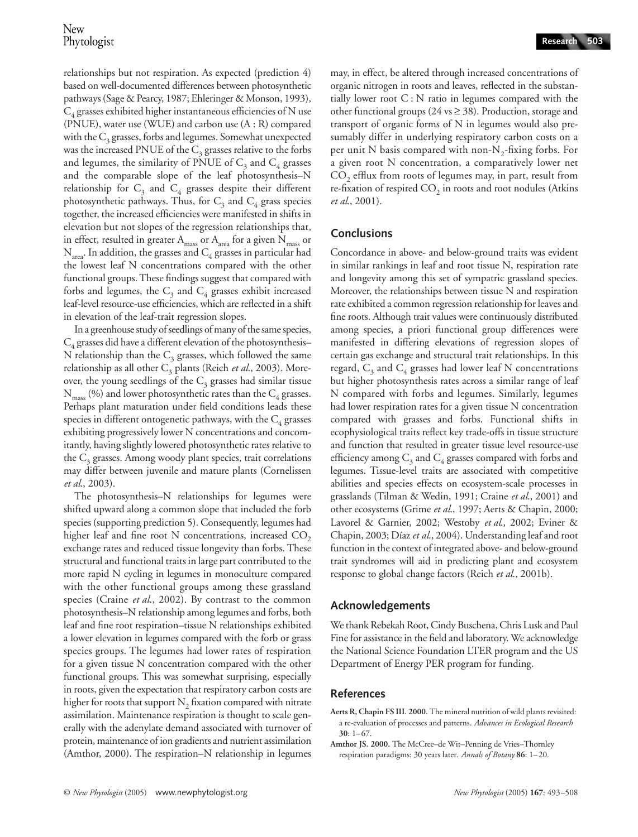relationships but not respiration. As expected (prediction 4) based on well-documented differences between photosynthetic pathways (Sage & Pearcy, 1987; Ehleringer & Monson, 1993),  $C_4$  grasses exhibited higher instantaneous efficiencies of N use (PNUE), water use (WUE) and carbon use (A : R) compared with the  $C_3$  grasses, forbs and legumes. Somewhat unexpected was the increased PNUE of the  $C_3$  grasses relative to the forbs and legumes, the similarity of PNUE of  $C_3$  and  $C_4$  grasses and the comparable slope of the leaf photosynthesis–N relationship for  $C_3$  and  $C_4$  grasses despite their different photosynthetic pathways. Thus, for  $C_3$  and  $C_4$  grass species together, the increased efficiencies were manifested in shifts in elevation but not slopes of the regression relationships that, in effect, resulted in greater  $A_{\text{mass}}$  or  $A_{\text{area}}$  for a given  $N_{\text{mass}}$  or  $\rm N_{area}.$  In addition, the grasses and  $\rm C_4$  grasses in particular had the lowest leaf N concentrations compared with the other functional groups. These findings suggest that compared with forbs and legumes, the  $C_3$  and  $C_4$  grasses exhibit increased leaf-level resource-use efficiencies, which are reflected in a shift in elevation of the leaf-trait regression slopes.

In a greenhouse study of seedlings of many of the same species,  $C_4$  grasses did have a different elevation of the photosynthesis– N relationship than the  $C_3$  grasses, which followed the same relationship as all other C<sub>3</sub> plants (Reich et al., 2003). Moreover, the young seedlings of the  $C_3$  grasses had similar tissue  $N_{mass}$  (%) and lower photosynthetic rates than the  $C_4$  grasses. Perhaps plant maturation under field conditions leads these species in different ontogenetic pathways, with the  $C_4$  grasses exhibiting progressively lower N concentrations and concomitantly, having slightly lowered photosynthetic rates relative to the  $C_3$  grasses. Among woody plant species, trait correlations may differ between juvenile and mature plants (Cornelissen *et al*., 2003).

The photosynthesis–N relationships for legumes were shifted upward along a common slope that included the forb species (supporting prediction 5). Consequently, legumes had higher leaf and fine root N concentrations, increased  $CO<sub>2</sub>$ exchange rates and reduced tissue longevity than forbs. These structural and functional traits in large part contributed to the more rapid N cycling in legumes in monoculture compared with the other functional groups among these grassland species (Craine *et al*., 2002). By contrast to the common photosynthesis–N relationship among legumes and forbs, both leaf and fine root respiration–tissue N relationships exhibited a lower elevation in legumes compared with the forb or grass species groups. The legumes had lower rates of respiration for a given tissue N concentration compared with the other functional groups. This was somewhat surprising, especially in roots, given the expectation that respiratory carbon costs are higher for roots that support  $N<sub>2</sub>$  fixation compared with nitrate assimilation. Maintenance respiration is thought to scale generally with the adenylate demand associated with turnover of protein, maintenance of ion gradients and nutrient assimilation (Amthor, 2000). The respiration–N relationship in legumes may, in effect, be altered through increased concentrations of organic nitrogen in roots and leaves, reflected in the substantially lower root C : N ratio in legumes compared with the other functional groups (24 vs ≥ 38). Production, storage and transport of organic forms of N in legumes would also presumably differ in underlying respiratory carbon costs on a per unit N basis compared with non- $N<sub>2</sub>$ -fixing forbs. For a given root N concentration, a comparatively lower net CO<sub>2</sub> efflux from roots of legumes may, in part, result from re-fixation of respired  $CO<sub>2</sub>$  in roots and root nodules (Atkins *et al*., 2001).

# **Conclusions**

Concordance in above- and below-ground traits was evident in similar rankings in leaf and root tissue N, respiration rate and longevity among this set of sympatric grassland species. Moreover, the relationships between tissue N and respiration rate exhibited a common regression relationship for leaves and fine roots. Although trait values were continuously distributed among species, a priori functional group differences were manifested in differing elevations of regression slopes of certain gas exchange and structural trait relationships. In this regard,  $C_3$  and  $C_4$  grasses had lower leaf N concentrations but higher photosynthesis rates across a similar range of leaf N compared with forbs and legumes. Similarly, legumes had lower respiration rates for a given tissue N concentration compared with grasses and forbs. Functional shifts in ecophysiological traits reflect key trade-offs in tissue structure and function that resulted in greater tissue level resource-use efficiency among  $C_3$  and  $C_4$  grasses compared with forbs and legumes. Tissue-level traits are associated with competitive abilities and species effects on ecosystem-scale processes in grasslands (Tilman & Wedin, 1991; Craine *et al*., 2001) and other ecosystems (Grime *et al*., 1997; Aerts & Chapin, 2000; Lavorel & Garnier, 2002; Westoby *et al*., 2002; Eviner & Chapin, 2003; Díaz *et al*., 2004). Understanding leaf and root function in the context of integrated above- and below-ground trait syndromes will aid in predicting plant and ecosystem response to global change factors (Reich *et al*., 2001b).

# **Acknowledgements**

We thank Rebekah Root, Cindy Buschena, Chris Lusk and Paul Fine for assistance in the field and laboratory. We acknowledge the National Science Foundation LTER program and the US Department of Energy PER program for funding.

# **References**

**Aerts R, Chapin FS III. 2000.** The mineral nutrition of wild plants revisited: a re-evaluation of processes and patterns. *Advances in Ecological Research* **30**: 1–67.

**Amthor JS. 2000.** The McCree–de Wit–Penning de Vries–Thornley respiration paradigms: 30 years later. *Annals of Botany* **86**: 1–20.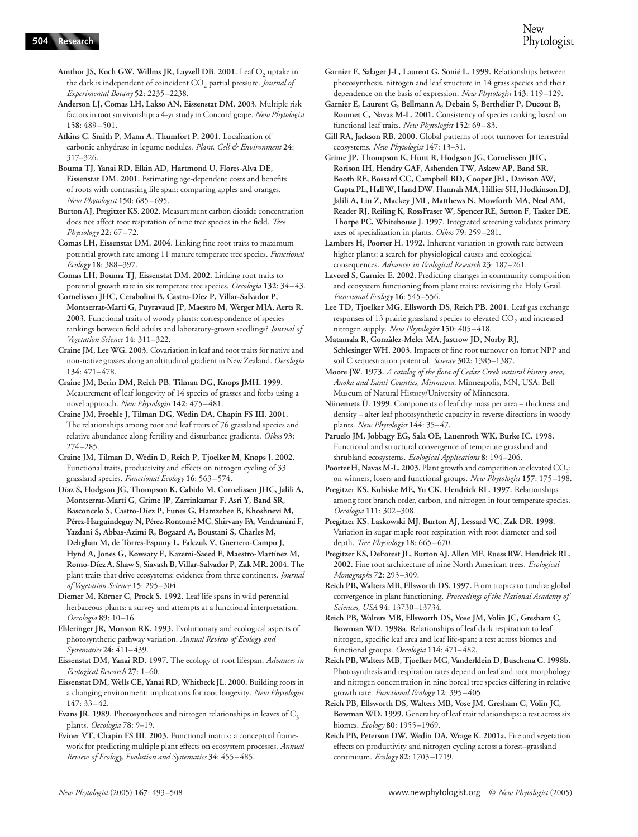**504 Research**

**Anderson LJ, Comas LH, Lakso AN, Eissenstat DM. 2003.** Multiple risk factors in root survivorship: a 4-yr study in Concord grape. *New Phytologist* **158**: 489–501.

**Atkins C, Smith P, Mann A, Thumfort P. 2001.** Localization of carbonic anhydrase in legume nodules. *Plant, Cell & Environment* **24**: 317–326.

**Bouma TJ, Yanai RD, Elkin AD, Hartmond U, Flores-Alva DE, Eissenstat DM. 2001.** Estimating age-dependent costs and benefits of roots with contrasting life span: comparing apples and oranges. *New Phytologist* **150**: 685–695.

**Burton AJ, Pregitzer KS. 2002.** Measurement carbon dioxide concentration does not affect root respiration of nine tree species in the field. *Tree Physiology* **22**: 67–72.

**Comas LH, Eissenstat DM. 2004.** Linking fine root traits to maximum potential growth rate among 11 mature temperate tree species. *Functional Ecology* **18**: 388–397.

**Comas LH, Bouma TJ, Eissenstat DM. 2002.** Linking root traits to potential growth rate in six temperate tree species. *Oecologia* **132**: 34–43. **Cornelissen JHC, Cerabolini B, Castro-Díez P, Villar-Salvador P,** 

**Montserrat-Martí G, Puyravaud JP, Maestro M, Werger MJA, Aerts R. 2003.** Functional traits of woody plants: correspondence of species rankings between field adults and laboratory-grown seedlings? *Journal of Vegetation Science* **14**: 311–322.

**Craine JM, Lee WG. 2003.** Covariation in leaf and root traits for native and non-native grasses along an altitudinal gradient in New Zealand. *Oecologia* **134**: 471–478.

**Craine JM, Berin DM, Reich PB, Tilman DG, Knops JMH. 1999.**  Measurement of leaf longevity of 14 species of grasses and forbs using a novel approach. *New Phytologist* **142**: 475–481.

**Craine JM, Froehle J, Tilman DG, Wedin DA, Chapin FS III**. **2001.**  The relationships among root and leaf traits of 76 grassland species and relative abundance along fertility and disturbance gradients. *Oikos* **93**: 274–285.

**Craine JM, Tilman D, Wedin D, Reich P, Tjoelker M, Knops J. 2002.**  Functional traits, productivity and effects on nitrogen cycling of 33 grassland species. *Functional Ecology* **16**: 563–574.

**Díaz S, Hodgson JG, Thompson K, Cabido M, Cornelissen JHC, Jalili A, Montserrat-Martí G, Grime JP, Zarrinkamar F, Asri Y, Band SR, Basconcelo S, Castro-Díez P, Funes G, Hamzehee B, Khoshnevi M, Pérez-Harguindeguy N, Pérez-Rontomé MC, Shirvany FA, Vendramini F, Yazdani S, Abbas-Azimi R, Bogaard A, Boustani S, Charles M, Dehghan M, de Torres-Espuny L, Falczuk V, Guerrero-Campo J, Hynd A, Jones G, Kowsary E, Kazemi-Saeed F, Maestro-Martínez M, Romo-Díez A, Shaw S, Siavash B, Villar-Salvador P, Zak MR. 2004.** The plant traits that drive ecosystems: evidence from three continents. *Journal of Vegetation Science* **15**: 295–304.

**Diemer M, Körner C, Prock S. 1992.** Leaf life spans in wild perennial herbaceous plants: a survey and attempts at a functional interpretation. *Oecologia* **89**: 10–16.

**Ehleringer JR, Monson RK. 1993.** Evolutionary and ecological aspects of photosynthetic pathway variation. *Annual Review of Ecology and Systematics* **24**: 411–439.

**Eissenstat DM, Yanai RD. 1997.** The ecology of root lifespan. *Advances in Ecological Research* **27**: 1–60.

**Eissenstat DM, Wells CE, Yanai RD, Whitbeck JL. 2000.** Building roots in a changing environment: implications for root longevity. *New Phytologist* **147**: 33–42.

**Evans JR. 1989.** Photosynthesis and nitrogen relationships in leaves of  $C_3$ plants. *Oecologia* **78**: 9–19.

**Eviner VT, Chapin FS III**. **2003.** Functional matrix: a conceptual framework for predicting multiple plant effects on ecosystem processes. *Annual Review of Ecology, Evolution and Systematics* **34**: 455–485.

**Garnier E, Salager J-L, Laurent G, Sonié L. 1999.** Relationships between photosynthesis, nitrogen and leaf structure in 14 grass species and their dependence on the basis of expression. *New Phytologist* **143**: 119–129.

**Garnier E, Laurent G, Bellmann A, Debain S, Berthelier P, Ducout B, Roumet C, Navas M-L. 2001.** Consistency of species ranking based on functional leaf traits. *New Phytologist* **152**: 69–83.

**Gill RA, Jackson RB. 2000.** Global patterns of root turnover for terrestrial ecosystems. *New Phytologist* **147**: 13–31.

**Grime JP, Thompson K, Hunt R, Hodgson JG, Cornelissen JHC, Rorison IH, Hendry GAF, Ashenden TW, Askew AP, Band SR, Booth RE, Bossard CC, Campbell BD, Cooper JEL, Davison AW, Gupta PL, Hall W, Hand DW, Hannah MA, Hillier SH, Hodkinson DJ, Jalili A, Liu Z, Mackey JML, Matthews N, Mowforth MA, Neal AM, Reader RJ, Reiling K, RossFraser W, Spencer RE, Sutton F, Tasker DE, Thorpe PC, Whitehouse J. 1997.** Integrated screening validates primary axes of specialization in plants. *Oikos* **79**: 259–281.

**Lambers H, Poorter H. 1992.** Inherent variation in growth rate between higher plants: a search for physiological causes and ecological consequences. *Advances in Ecological Research* **23**: 187–261.

**Lavorel S, Garnier E. 2002.** Predicting changes in community composition and ecosystem functioning from plant traits: revisiting the Holy Grail. *Functional Ecology* **16**: 545–556.

Lee TD, Tjoelker MG, Ellsworth DS, Reich PB. 2001. Leaf gas exchange responses of 13 prairie grassland species to elevated  $CO<sub>2</sub>$  and increased nitrogen supply. *New Phytologist* **150**: 405–418.

**Matamala R, Gonzàlez-Meler MA, Jastrow JD, Norby RJ, Schlesinger WH. 2003.** Impacts of fine root turnover on forest NPP and soil C sequestration potential. *Science* **302**: 1385–1387.

**Moore JW. 1973.** *A catalog of the flora of Cedar Creek natural history area, Anoka and Isanti Counties, Minnesota*. Minneapolis, MN, USA: Bell Museum of Natural History/University of Minnesota.

**Niinemets Ü. 1999.** Components of leaf dry mass per area – thickness and density – alter leaf photosynthetic capacity in reverse directions in woody plants. *New Phytologist* **144**: 35–47.

**Paruelo JM, Jobbagy EG, Sala OE, Lauenroth WK, Burke IC. 1998.**  Functional and structural convergence of temperate grassland and shrubland ecosystems. *Ecological Applications* **8**: 194–206.

Poorter H, Navas M-L. 2003. Plant growth and competition at elevated CO<sub>2</sub>: on winners, losers and functional groups. *New Phytologist* **157**: 175–198.

**Pregitzer KS, Kubiske ME, Yu CK, Hendrick RL. 1997.** Relationships among root branch order, carbon, and nitrogen in four temperate species. *Oecologia* **111**: 302–308.

**Pregitzer KS, Laskowski MJ, Burton AJ, Lessard VC, Zak DR. 1998.**  Variation in sugar maple root respiration with root diameter and soil depth. *Tree Physiology* **18**: 665–670.

**Pregitzer KS, DeForest JL, Burton AJ, Allen MF, Ruess RW, Hendrick RL. 2002.** Fine root architecture of nine North American trees. *Ecological Monographs* **72**: 293–309.

**Reich PB, Walters MB, Ellsworth DS. 1997.** From tropics to tundra: global convergence in plant functioning. *Proceedings of the National Academy of Sciences, USA* **94**: 13730–13734.

**Reich PB, Walters MB, Ellsworth DS, Vose JM, Volin JC, Gresham C, Bowman WD. 1998a.** Relationships of leaf dark respiration to leaf nitrogen, specific leaf area and leaf life-span: a test across biomes and functional groups. *Oecologia* **114**: 471–482.

**Reich PB, Walters MB, Tjoelker MG, Vanderklein D, Buschena C. 1998b.**  Photosynthesis and respiration rates depend on leaf and root morphology and nitrogen concentration in nine boreal tree species differing in relative growth rate. *Functional Ecology* **12**: 395–405.

**Reich PB, Ellsworth DS, Walters MB, Vose JM, Gresham C, Volin JC, Bowman WD. 1999.** Generality of leaf trait relationships: a test across six biomes. *Ecology* **80**: 1955–1969.

**Reich PB, Peterson DW, Wedin DA, Wrage K. 2001a.** Fire and vegetation effects on productivity and nitrogen cycling across a forest–grassland continuum. *Ecology* **82**: 1703–1719.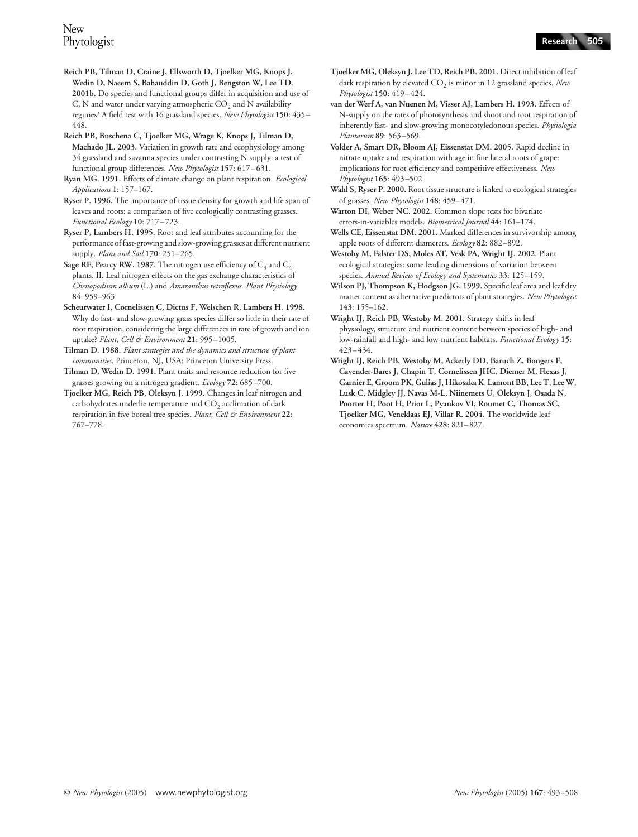**Reich PB, Tilman D, Craine J, Ellsworth D, Tjoelker MG, Knops J, Wedin D, Naeem S, Bahauddin D, Goth J, Bengston W, Lee TD. 2001b.** Do species and functional groups differ in acquisition and use of C, N and water under varying atmospheric  $CO<sub>2</sub>$  and N availability regimes? A field test with 16 grassland species. *New Phytologist* **150**: 435– 448.

**Reich PB, Buschena C, Tjoelker MG, Wrage K, Knops J, Tilman D, Machado JL. 2003.** Variation in growth rate and ecophysiology among 34 grassland and savanna species under contrasting N supply: a test of functional group differences. *New Phytologist* **157**: 617–631.

**Ryan MG. 1991.** Effects of climate change on plant respiration. *Ecological Applications* **1**: 157–167.

**Ryser P. 1996.** The importance of tissue density for growth and life span of leaves and roots: a comparison of five ecologically contrasting grasses. *Functional Ecology* **10**: 717–723.

**Ryser P, Lambers H. 1995.** Root and leaf attributes accounting for the performance of fast-growing and slow-growing grasses at different nutrient supply. *Plant and Soil* **170**: 251–265.

**Sage RF, Pearcy RW. 1987.** The nitrogen use efficiency of  $C_3$  and  $C_4$ plants. II. Leaf nitrogen effects on the gas exchange characteristics of *Chenopodium album* (L.) and *Amaranthus retroflexus*. *Plant Physiology* **84**: 959–963.

**Scheurwater I, Cornelissen C, Dictus F, Welschen R, Lambers H. 1998.**  Why do fast- and slow-growing grass species differ so little in their rate of root respiration, considering the large differences in rate of growth and ion uptake? *Plant, Cell & Environment* **21**: 995–1005.

**Tilman D. 1988.** *Plant strategies and the dynamics and structure of plant communities*. Princeton, NJ, USA: Princeton University Press.

**Tilman D, Wedin D. 1991.** Plant traits and resource reduction for five grasses growing on a nitrogen gradient. *Ecology* **72**: 685–700.

**Tjoelker MG, Reich PB, Oleksyn J. 1999.** Changes in leaf nitrogen and carbohydrates underlie temperature and  $CO<sub>2</sub>$  acclimation of dark respiration in five boreal tree species. *Plant, Cell & Environment* **22**: 767–778.

- **Tjoelker MG, Oleksyn J, Lee TD, Reich PB. 2001.** Direct inhibition of leaf dark respiration by elevated CO<sub>2</sub> is minor in 12 grassland species. *New Phytologist* **150**: 419–424.
- **van der Werf A, van Nuenen M, Visser AJ, Lambers H. 1993.** Effects of N-supply on the rates of photosynthesis and shoot and root respiration of inherently fast- and slow-growing monocotyledonous species. *Physiologia Plantarum* **89**: 563–569.
- **Volder A, Smart DR, Bloom AJ, Eissenstat DM. 2005.** Rapid decline in nitrate uptake and respiration with age in fine lateral roots of grape: implications for root efficiency and competitive effectiveness. *New Phytologist* **165**: 493–502.

**Wahl S, Ryser P. 2000.** Root tissue structure is linked to ecological strategies of grasses. *New Phytologist* **148**: 459–471.

- Warton DI, Weber NC. 2002. Common slope tests for bivariate errors-in-variables models. *Biometrical Journal* **44**: 161–174.
- **Wells CE, Eissenstat DM. 2001.** Marked differences in survivorship among apple roots of different diameters. *Ecology* **82**: 882–892.
- **Westoby M, Falster DS, Moles AT, Vesk PA, Wright IJ. 2002.** Plant ecological strategies: some leading dimensions of variation between species. *Annual Review of Ecology and Systematics* **33**: 125–159.
- **Wilson PJ, Thompson K, Hodgson JG. 1999.** Specific leaf area and leaf dry matter content as alternative predictors of plant strategies. *New Phytologist* **143**: 155–162.
- **Wright IJ, Reich PB, Westoby M. 2001.** Strategy shifts in leaf physiology, structure and nutrient content between species of high- and low-rainfall and high- and low-nutrient habitats. *Functional Ecology* **15**: 423–434.
- **Wright IJ, Reich PB, Westoby M, Ackerly DD, Baruch Z, Bongers F, Cavender-Bares J, Chapin T, Cornelissen JHC, Diemer M, Flexas J, Garnier E, Groom PK, Gulias J, Hikosaka K, Lamont BB, Lee T, Lee W, Lusk C, Midgley JJ, Navas M-L, Niinemets Ü, Oleksyn J, Osada N, Poorter H, Poot H, Prior L, Pyankov VI, Roumet C, Thomas SC, Tjoelker MG, Veneklaas EJ, Villar R. 2004.** The worldwide leaf economics spectrum. *Nature* **428**: 821–827.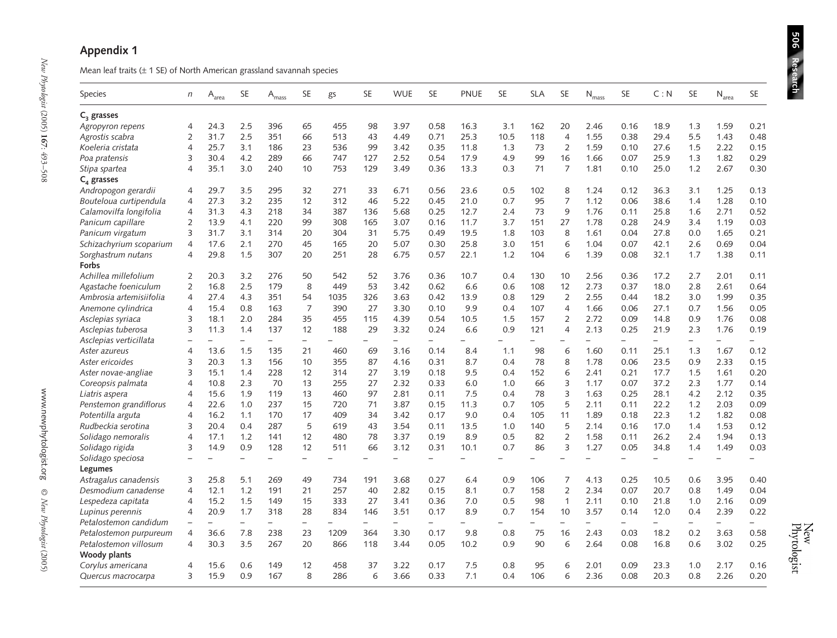| Mean leaf traits $(\pm 1$ SE) of North American grassland savannah species |                          |                              |                          |                            |                          |                          |                          |                          |                          |      |                          |                          |                          |                          |                          |                          |                          |                          |                          |
|----------------------------------------------------------------------------|--------------------------|------------------------------|--------------------------|----------------------------|--------------------------|--------------------------|--------------------------|--------------------------|--------------------------|------|--------------------------|--------------------------|--------------------------|--------------------------|--------------------------|--------------------------|--------------------------|--------------------------|--------------------------|
| Species                                                                    | $\eta$                   | $\mathsf{A}_{\mathsf{area}}$ | <b>SE</b>                | $\mathsf{A}_{\text{mass}}$ | <b>SE</b>                | gs                       | SE                       | <b>WUE</b>               | <b>SE</b>                | PNUE | <b>SE</b>                | <b>SLA</b>               | <b>SE</b>                | $N_{mass}$               | SE                       | C: N                     | SE                       | $N_{area}$               | <b>SE</b>                |
| $C3$ grasses                                                               |                          |                              |                          |                            |                          |                          |                          |                          |                          |      |                          |                          |                          |                          |                          |                          |                          |                          |                          |
| Agropyron repens                                                           | 4                        | 24.3                         | 2.5                      | 396                        | 65                       | 455                      | 98                       | 3.97                     | 0.58                     | 16.3 | 3.1                      | 162                      | 20                       | 2.46                     | 0.16                     | 18.9                     | 1.3                      | 1.59                     | 0.21                     |
| Agrostis scabra                                                            | 2                        | 31.7                         | 2.5                      | 351                        | 66                       | 513                      | 43                       | 4.49                     | 0.71                     | 25.3 | 10.5                     | 118                      | $\overline{4}$           | 1.55                     | 0.38                     | 29.4                     | 5.5                      | 1.43                     | 0.48                     |
| Koeleria cristata                                                          | 4                        | 25.7                         | 3.1                      | 186                        | 23                       | 536                      | 99                       | 3.42                     | 0.35                     | 11.8 | 1.3                      | 73                       | $\overline{2}$           | 1.59                     | 0.10                     | 27.6                     | 1.5                      | 2.22                     | 0.15                     |
| Poa pratensis                                                              | 3                        | 30.4                         | 4.2                      | 289                        | 66                       | 747                      | 127                      | 2.52                     | 0.54                     | 17.9 | 4.9                      | 99                       | 16                       | 1.66                     | 0.07                     | 25.9                     | 1.3                      | 1.82                     | 0.29                     |
| Stipa spartea                                                              | 4                        | 35.1                         | 3.0                      | 240                        | 10                       | 753                      | 129                      | 3.49                     | 0.36                     | 13.3 | 0.3                      | 71                       | $\overline{7}$           | 1.81                     | 0.10                     | 25.0                     | 1.2                      | 2.67                     | 0.30                     |
| $C_4$ grasses                                                              |                          |                              |                          |                            |                          |                          |                          |                          |                          |      |                          |                          |                          |                          |                          |                          |                          |                          |                          |
| Andropogon gerardii                                                        | 4                        | 29.7                         | 3.5                      | 295                        | 32                       | 271                      | 33                       | 6.71                     | 0.56                     | 23.6 | 0.5                      | 102                      | 8                        | 1.24                     | 0.12                     | 36.3                     | 3.1                      | 1.25                     | 0.13                     |
| Bouteloua curtipendula                                                     | 4                        | 27.3                         | 3.2                      | 235                        | 12                       | 312                      | 46                       | 5.22                     | 0.45                     | 21.0 | 0.7                      | 95                       | $\overline{7}$           | 1.12                     | 0.06                     | 38.6                     | 1.4                      | 1.28                     | 0.10                     |
| Calamovilfa longifolia                                                     | 4                        | 31.3                         | 4.3                      | 218                        | 34                       | 387                      | 136                      | 5.68                     | 0.25                     | 12.7 | 2.4                      | 73                       | 9                        | 1.76                     | 0.11                     | 25.8                     | 1.6                      | 2.71                     | 0.52                     |
| Panicum capillare                                                          | 2                        | 13.9                         | 4.1                      | 220                        | 99                       | 308                      | 165                      | 3.07                     | 0.16                     | 11.7 | 3.7                      | 151                      | 27                       | 1.78                     | 0.28                     | 24.9                     | 3.4                      | 1.19                     | 0.03                     |
| Panicum virgatum                                                           | 3                        | 31.7                         | 3.1                      | 314                        | 20                       | 304                      | 31                       | 5.75                     | 0.49                     | 19.5 | 1.8                      | 103                      | 8                        | 1.61                     | 0.04                     | 27.8                     | 0.0                      | 1.65                     | 0.21                     |
| Schizachyrium scoparium                                                    | 4                        | 17.6                         | 2.1                      | 270                        | 45                       | 165                      | 20                       | 5.07                     | 0.30                     | 25.8 | 3.0                      | 151                      | 6                        | 1.04                     | 0.07                     | 42.1                     | 2.6                      | 0.69                     | 0.04                     |
| Sorghastrum nutans                                                         | 4                        | 29.8                         | 1.5                      | 307                        | 20                       | 251                      | 28                       | 6.75                     | 0.57                     | 22.1 | 1.2                      | 104                      | 6                        | 1.39                     | 0.08                     | 32.1                     | 1.7                      | 1.38                     | 0.11                     |
| Forbs                                                                      |                          |                              |                          |                            |                          |                          |                          |                          |                          |      |                          |                          |                          |                          |                          |                          |                          |                          |                          |
| Achillea millefolium                                                       | $\overline{2}$           | 20.3                         | 3.2                      | 276                        | 50                       | 542                      | 52                       | 3.76                     | 0.36                     | 10.7 | 0.4                      | 130                      | 10                       | 2.56                     | 0.36                     | 17.2                     | 2.7                      | 2.01                     | 0.11                     |
| Agastache foeniculum                                                       | 2                        | 16.8                         | 2.5                      | 179                        | 8                        | 449                      | 53                       | 3.42                     | 0.62                     | 6.6  | 0.6                      | 108                      | 12                       | 2.73                     | 0.37                     | 18.0                     | 2.8                      | 2.61                     | 0.64                     |
| Ambrosia artemisiifolia                                                    | 4                        | 27.4                         | 4.3                      | 351                        | 54                       | 1035                     | 326                      | 3.63                     | 0.42                     | 13.9 | 0.8                      | 129                      | $\overline{2}$           | 2.55                     | 0.44                     | 18.2                     | 3.0                      | 1.99                     | 0.35                     |
| Anemone cylindrica                                                         | 4                        | 15.4                         | 0.8                      | 163                        | $\overline{7}$           | 390                      | 27                       | 3.30                     | 0.10                     | 9.9  | 0.4                      | 107                      | $\overline{4}$           | 1.66                     | 0.06                     | 27.1                     | 0.7                      | 1.56                     | 0.05                     |
| Asclepias syriaca                                                          | 3                        | 18.1                         | 2.0                      | 284                        | 35                       | 455                      | 115                      | 4.39                     | 0.54                     | 10.5 | 1.5                      | 157                      | $\overline{2}$           | 2.72                     | 0.09                     | 14.8                     | 0.9                      | 1.76                     | 0.08                     |
| Asclepias tuberosa                                                         | 3                        | 11.3                         | 1.4                      | 137                        | 12                       | 188                      | 29                       | 3.32                     | 0.24                     | 6.6  | 0.9                      | 121                      | $\overline{4}$           | 2.13                     | 0.25                     | 21.9                     | 2.3                      | 1.76                     | 0.19                     |
| Asclepias verticillata                                                     | $\overline{\phantom{0}}$ |                              | $\overline{\phantom{0}}$ | $\overline{\phantom{0}}$   | $\overline{\phantom{0}}$ |                          |                          | $\overline{\phantom{0}}$ | $-$                      |      | $\overline{\phantom{0}}$ | $\overline{a}$           | $\overline{\phantom{0}}$ | $\overline{\phantom{0}}$ | $\overline{\phantom{0}}$ | $\overline{\phantom{0}}$ | $\overline{\phantom{0}}$ | $\overline{\phantom{0}}$ |                          |
| Aster azureus                                                              | 4                        | 13.6                         | 1.5                      | 135                        | 21                       | 460                      | 69                       | 3.16                     | 0.14                     | 8.4  | 1.1                      | 98                       | 6                        | 1.60                     | 0.11                     | 25.1                     | 1.3                      | 1.67                     | 0.12                     |
| Aster ericoides                                                            | 3                        | 20.3                         | 1.3                      | 156                        | 10                       | 355                      | 87                       | 4.16                     | 0.31                     | 8.7  | 0.4                      | 78                       | 8                        | 1.78                     | 0.06                     | 23.5                     | 0.9                      | 2.33                     | 0.15                     |
| Aster novae-angliae                                                        | 3                        | 15.1                         | 1.4                      | 228                        | 12                       | 314                      | 27                       | 3.19                     | 0.18                     | 9.5  | 0.4                      | 152                      | 6                        | 2.41                     | 0.21                     | 17.7                     | 1.5                      | 1.61                     | 0.20                     |
| Coreopsis palmata                                                          | 4                        | 10.8                         | 2.3                      | 70                         | 13                       | 255                      | 27                       | 2.32                     | 0.33                     | 6.0  | 1.0                      | 66                       | 3                        | 1.17                     | 0.07                     | 37.2                     | 2.3                      | 1.77                     | 0.14                     |
| Liatris aspera                                                             | 4                        | 15.6                         | 1.9                      | 119                        | 13                       | 460                      | 97                       | 2.81                     | 0.11                     | 7.5  | 0.4                      | 78                       | 3                        | 1.63                     | 0.25                     | 28.1                     | 4.2                      | 2.12                     | 0.35                     |
| Penstemon grandiflorus                                                     | 4                        | 22.6                         | 1.0                      | 237                        | 15                       | 720                      | 71                       | 3.87                     | 0.15                     | 11.3 | 0.7                      | 105                      | 5                        | 2.11                     | 0.11                     | 22.2                     | 1.2                      | 2.03                     | 0.09                     |
| Potentilla arguta                                                          | 4                        | 16.2                         | 1.1                      | 170                        | 17                       | 409                      | 34                       | 3.42                     | 0.17                     | 9.0  | 0.4                      | 105                      | 11                       | 1.89                     | 0.18                     | 22.3                     | 1.2                      | 1.82                     | 0.08                     |
| Rudbeckia serotina                                                         | 3                        | 20.4                         | 0.4                      | 287                        | 5                        | 619                      | 43                       | 3.54                     | 0.11                     | 13.5 | 1.0                      | 140                      | 5                        | 2.14                     | 0.16                     | 17.0                     | 1.4                      | 1.53                     | 0.12                     |
| Solidago nemoralis                                                         | 4                        | 17.1                         | 1.2                      | 141                        | 12                       | 480                      | 78                       | 3.37                     | 0.19                     | 8.9  | 0.5                      | 82                       | $\overline{2}$           | 1.58                     | 0.11                     | 26.2                     | 2.4                      | 1.94                     | 0.13                     |
| Solidago rigida                                                            | 3                        | 14.9                         | 0.9                      | 128                        | 12                       | 511                      | 66                       | 3.12                     | 0.31                     | 10.1 | 0.7                      | 86                       | 3                        | 1.27                     | 0.05                     | 34.8                     | 1.4                      | 1.49                     | 0.03                     |
| Solidago speciosa                                                          |                          |                              |                          | $\overline{\phantom{0}}$   |                          |                          |                          |                          |                          |      |                          |                          |                          |                          |                          |                          | $\overline{\phantom{0}}$ |                          |                          |
|                                                                            |                          |                              |                          |                            |                          |                          |                          |                          |                          |      |                          |                          |                          |                          |                          |                          |                          |                          |                          |
| Legumes                                                                    |                          | 25.8                         | 5.1                      |                            |                          | 734                      |                          | 3.68                     |                          | 6.4  | 0.9                      | 106                      | 7                        |                          | 0.25                     |                          |                          | 3.95                     | 0.40                     |
| Astragalus canadensis<br>Desmodium canadense                               | 3<br>$\overline{4}$      | 12.1                         | 1.2                      | 269<br>191                 | 49<br>21                 | 257                      | 191<br>40                | 2.82                     | 0.27<br>0.15             | 8.1  | 0.7                      | 158                      | $\overline{2}$           | 4.13<br>2.34             | 0.07                     | 10.5<br>20.7             | 0.6<br>0.8               | 1.49                     | 0.04                     |
|                                                                            | 4                        |                              |                          |                            |                          |                          |                          |                          |                          |      |                          | 98                       |                          |                          |                          |                          |                          |                          |                          |
| Lespedeza capitata                                                         |                          | 15.2                         | 1.5                      | 149                        | 15                       | 333                      | 27                       | 3.41                     | 0.36                     | 7.0  | 0.5                      |                          | $\mathbf{1}$             | 2.11                     | 0.10                     | 21.8                     | 1.0                      | 2.16                     | 0.09                     |
| Lupinus perennis                                                           | 4                        | 20.9                         | 1.7                      | 318                        | 28                       | 834                      | 146                      | 3.51                     | 0.17                     | 8.9  | 0.7                      | 154                      | 10                       | 3.57                     | 0.14                     | 12.0                     | 0.4                      | 2.39                     | 0.22                     |
| Petalostemon candidum                                                      |                          |                              | $\overline{\phantom{0}}$ | $\overline{\phantom{0}}$   | $\overline{\phantom{a}}$ | $\overline{\phantom{0}}$ | $\overline{\phantom{0}}$ | $\overline{\phantom{0}}$ | $\overline{\phantom{0}}$ |      | $\overline{\phantom{0}}$ | $\overline{\phantom{0}}$ | $\overline{\phantom{0}}$ | -                        | $\overline{\phantom{0}}$ | $\overline{\phantom{0}}$ | $\overline{\phantom{0}}$ | $\overline{\phantom{0}}$ | $\overline{\phantom{0}}$ |
| Petalostemon purpureum                                                     | 4                        | 36.6                         | 7.8                      | 238                        | 23                       | 1209                     | 364                      | 3.30                     | 0.17                     | 9.8  | 0.8                      | 75                       | 16                       | 2.43                     | 0.03                     | 18.2                     | 0.2                      | 3.63                     | 0.58                     |
| Petalostemon villosum                                                      | 4                        | 30.3                         | 3.5                      | 267                        | 20                       | 866                      | 118                      | 3.44                     | 0.05                     | 10.2 | 0.9                      | 90                       | 6                        | 2.64                     | 0.08                     | 16.8                     | 0.6                      | 3.02                     | 0.25                     |
| Woody plants                                                               |                          |                              |                          |                            |                          |                          |                          |                          |                          |      |                          |                          |                          |                          |                          |                          |                          |                          |                          |
| Corylus americana                                                          | 4                        | 15.6                         | 0.6                      | 149                        | 12                       | 458                      | 37                       | 3.22                     | 0.17                     | 7.5  | 0.8                      | 95                       | 6                        | 2.01                     | 0.09                     | 23.3                     | 1.0                      | 2.17                     | 0.16                     |
| Quercus macrocarpa                                                         | 3                        | 15.9                         | 0.9                      | 167                        | 8                        | 286                      | 6                        | 3.66                     | 0.33                     | 7.1  | 0.4                      | 106                      | 6                        | 2.36                     | 0.08                     | 20.3                     | 0.8                      | 2.26                     | 0.20                     |

New<br>Phytologist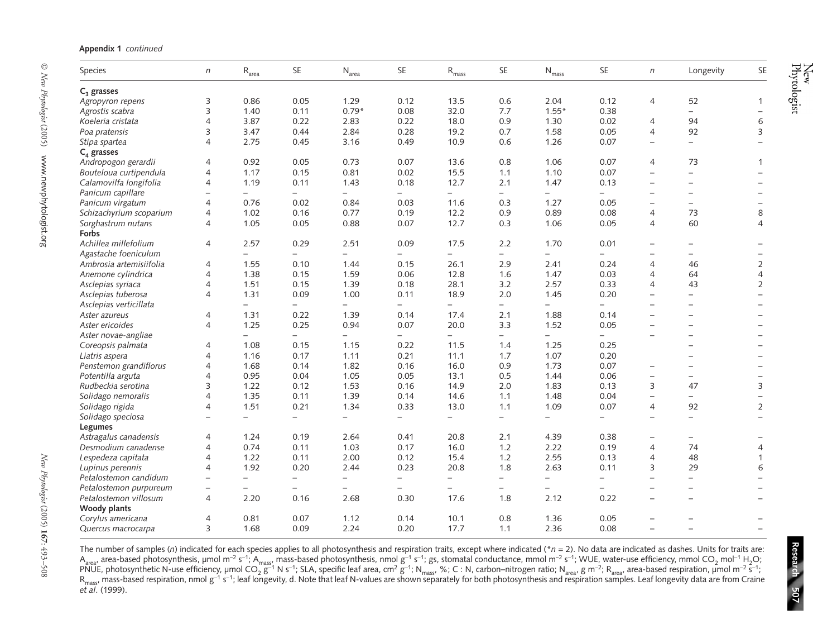| <b>Species</b>          | n                        | $\rm R_{area}$           | SE                               | $\rm N_{\rm area}$ | <b>SE</b> | $\rm R_{mass}$           | <b>SE</b>                | $N_{mass}$               | <b>SE</b>    | $\sqrt{n}$               | Longevity                | SE                       |
|-------------------------|--------------------------|--------------------------|----------------------------------|--------------------|-----------|--------------------------|--------------------------|--------------------------|--------------|--------------------------|--------------------------|--------------------------|
| C <sub>3</sub> grasses  |                          |                          |                                  |                    |           |                          |                          |                          |              |                          |                          |                          |
| Agropyron repens        | 3                        | 0.86                     | 0.05                             | 1.29               | 0.12      | 13.5                     | 0.6                      | 2.04                     | 0.12         | $\overline{4}$           | 52                       | 1                        |
| Agrostis scabra         | 3                        | 1.40                     | 0.11                             | $0.79*$            | 0.08      | 32.0                     | 7.7                      | $1.55*$                  | 0.38         |                          | $-$                      |                          |
| Koeleria cristata       | $\overline{4}$           | 3.87                     | 0.22                             | 2.83               | 0.22      | 18.0                     | 0.9                      | 1.30                     | 0.02         | 4                        | 94                       | 6                        |
| Poa pratensis           | 3                        | 3.47                     | 0.44                             | 2.84               | 0.28      | 19.2                     | 0.7                      | 1.58                     | 0.05         | $\overline{4}$           | 92                       | 3                        |
| Stipa spartea           | $\overline{4}$           | 2.75                     | 0.45                             | 3.16               | 0.49      | 10.9                     | 0.6                      | 1.26                     | 0.07         | $\overline{\phantom{0}}$ |                          |                          |
| C <sub>4</sub> grasses  |                          |                          |                                  |                    |           |                          |                          |                          |              |                          |                          |                          |
| Andropogon gerardii     | $\overline{4}$           | 0.92                     | 0.05                             | 0.73               | 0.07      | 13.6                     | 0.8                      | 1.06                     | 0.07         | $\overline{4}$           | 73                       | $\mathbf{1}$             |
| Bouteloua curtipendula  | $\overline{4}$           | 1.17                     | 0.15                             | 0.81               | 0.02      | 15.5                     | 1.1                      | 1.10                     | 0.07         | $\overline{\phantom{0}}$ | $\overline{\phantom{0}}$ |                          |
| Calamovilfa longifolia  | $\overline{4}$           | 1.19                     | 0.11                             | 1.43               | 0.18      | 12.7                     | 2.1                      | 1.47                     | 0.13         |                          |                          |                          |
| Panicum capillare       |                          | $-$                      | $-$                              |                    |           | $\overline{\phantom{0}}$ | $\overline{\phantom{0}}$ | $-$                      |              |                          |                          |                          |
| Panicum virgatum        | $\overline{4}$           | 0.76                     | 0.02                             | 0.84               | 0.03      | 11.6                     | 0.3                      | 1.27                     | 0.05         | $\overline{\phantom{0}}$ | $\overline{\phantom{0}}$ |                          |
| Schizachyrium scoparium | $\overline{4}$           | 1.02                     | 0.16                             | 0.77               | 0.19      | 12.2                     | 0.9                      | 0.89                     | 0.08         | $\overline{4}$           | 73                       | 8                        |
| Sorghastrum nutans      | $\overline{4}$           | 1.05                     | 0.05                             | 0.88               | 0.07      | 12.7                     | 0.3                      | 1.06                     | 0.05         | $\overline{4}$           | 60                       | $\overline{4}$           |
| Forbs                   |                          |                          |                                  |                    |           |                          |                          |                          |              |                          |                          |                          |
| Achillea millefolium    | $\overline{4}$           | 2.57                     | 0.29                             | 2.51               | 0.09      | 17.5                     | 2.2                      | 1.70                     | 0.01         |                          |                          |                          |
| Agastache foeniculum    |                          | $\equiv$                 | $\equiv$                         |                    |           |                          | $-$                      |                          |              |                          |                          |                          |
| Ambrosia artemisiifolia | $\overline{4}$           | 1.55                     | 0.10                             | 1.44               | 0.15      | 26.1                     | 2.9                      | 2.41                     | 0.24         | $\overline{4}$           | 46                       | $\overline{2}$           |
| Anemone cylindrica      | $\overline{4}$           | 1.38                     | 0.15                             | 1.59               | 0.06      | 12.8                     | 1.6                      | 1.47                     | 0.03         | $\overline{4}$           | 64                       | 4                        |
| Asclepias syriaca       | $\overline{4}$           | 1.51                     | 0.15                             | 1.39               | 0.18      | 28.1                     | 3.2                      | 2.57                     | 0.33         | $\overline{4}$           | 43                       | 2                        |
| Asclepias tuberosa      | $\overline{4}$           | 1.31                     | 0.09                             | 1.00               | 0.11      | 18.9                     | 2.0                      | 1.45                     | 0.20         |                          | $\overline{\phantom{0}}$ |                          |
| Asclepias verticillata  |                          | $-$                      | $\overline{\phantom{0}}$         |                    |           |                          | $-$                      |                          |              | $\overline{\phantom{a}}$ | $\overline{\phantom{0}}$ |                          |
| Aster azureus           | $\overline{4}$           | 1.31                     | 0.22                             | 1.39               | 0.14      | 17.4                     | 2.1                      | 1.88                     | 0.14         |                          | $\overline{\phantom{0}}$ |                          |
| Aster ericoides         | $\overline{4}$           | 1.25                     | 0.25                             | 0.94               | 0.07      | 20.0                     | 3.3                      | 1.52                     | 0.05         | $\overline{\phantom{0}}$ | $\overline{\phantom{0}}$ |                          |
| Aster novae-angliae     |                          | $\overline{\phantom{m}}$ |                                  |                    |           |                          |                          |                          |              |                          |                          |                          |
|                         | $\overline{4}$           | 1.08                     | $\overline{\phantom{0}}$<br>0.15 | 1.15               | 0.22      | 11.5                     | $-$<br>1.4               | 1.25                     | 0.25         |                          |                          |                          |
| Coreopsis palmata       |                          |                          |                                  |                    | 0.21      |                          |                          | 1.07                     |              |                          |                          |                          |
| Liatris aspera          | 4<br>$\overline{4}$      | 1.16<br>1.68             | 0.17<br>0.14                     | 1.11               | 0.16      | 11.1<br>16.0             | 1.7<br>0.9               | 1.73                     | 0.20<br>0.07 |                          |                          |                          |
| Penstemon grandiflorus  | $\overline{4}$           | 0.95                     | 0.04                             | 1.82               | 0.05      |                          | 0.5                      | 1.44                     | 0.06         |                          |                          |                          |
| Potentilla arguta       |                          |                          |                                  | 1.05               |           | 13.1                     |                          |                          |              | $\overline{\phantom{0}}$ | $\overline{\phantom{0}}$ | $\overline{\phantom{0}}$ |
| Rudbeckia serotina      | 3                        | 1.22                     | 0.12                             | 1.53               | 0.16      | 14.9                     | 2.0                      | 1.83                     | 0.13         | 3                        | 47                       | 3                        |
| Solidago nemoralis      | $\overline{4}$           | 1.35                     | 0.11                             | 1.39               | 0.14      | 14.6                     | 1.1                      | 1.48                     | 0.04         |                          | $-$                      |                          |
| Solidago rigida         | $\overline{4}$           | 1.51                     | 0.21                             | 1.34               | 0.33      | 13.0                     | 1.1                      | 1.09                     | 0.07         | $\overline{4}$           | 92                       | $\overline{2}$           |
| Solidago speciosa       |                          | $\overline{\phantom{0}}$ | $\overline{\phantom{0}}$         |                    |           | $\overline{\phantom{0}}$ | $\equiv$                 | $-$                      |              |                          | $\overline{\phantom{0}}$ |                          |
| Legumes                 |                          |                          |                                  |                    |           |                          |                          |                          |              |                          |                          |                          |
| Astragalus canadensis   | $\overline{4}$           | 1.24                     | 0.19                             | 2.64               | 0.41      | 20.8                     | 2.1                      | 4.39                     | 0.38         |                          |                          |                          |
| Desmodium canadense     | $\overline{4}$           | 0.74                     | 0.11                             | 1.03               | 0.17      | 16.0                     | 1.2                      | 2.22                     | 0.19         | $\overline{4}$           | 74                       | 4                        |
| Lespedeza capitata      | $\overline{4}$           | 1.22                     | 0.11                             | 2.00               | 0.12      | 15.4                     | 1.2                      | 2.55                     | 0.13         | $\overline{4}$           | 48                       | 1                        |
| Lupinus perennis        | $\overline{4}$           | 1.92                     | 0.20                             | 2.44               | 0.23      | 20.8                     | 1.8                      | 2.63                     | 0.11         | 3                        | 29                       | 6                        |
| Petalostemon candidum   | $\qquad \qquad -$        | $\qquad \qquad -$        | $\overline{\phantom{0}}$         |                    |           | $\overline{\phantom{0}}$ | $\overline{\phantom{0}}$ |                          |              |                          | $\overline{\phantom{0}}$ |                          |
| Petalostemon purpureum  | $\overline{\phantom{0}}$ | $\overline{\phantom{m}}$ | $\overline{\phantom{0}}$         |                    |           |                          | $-$                      | $\overline{\phantom{0}}$ |              |                          | $\overline{\phantom{0}}$ |                          |
| Petalostemon villosum   | 4                        | 2.20                     | 0.16                             | 2.68               | 0.30      | 17.6                     | 1.8                      | 2.12                     | 0.22         | $\qquad \qquad -$        | $\overline{\phantom{0}}$ |                          |
| Woody plants            |                          |                          |                                  |                    |           |                          |                          |                          |              |                          |                          |                          |
| Corylus americana       | $\overline{4}$           | 0.81                     | 0.07                             | 1.12               | 0.14      | 10.1                     | 0.8                      | 1.36                     | 0.05         |                          |                          |                          |
| Quercus macrocarpa      | 3                        | 1.68                     | 0.09                             | 2.24               | 0.20      | 17.7                     | 1.1                      | 2.36                     | 0.08         | $\overline{\phantom{0}}$ |                          |                          |

**Research**

**507**

The number of samples (*n*) indicated for each species applies to all photosynthesis and respiration traits, except where indicated (\**<sup>n</sup>* = 2). No data are indicated as dashes. Units for traits are:  $A_{area}$  area-based photosynthesis, µmol m<sup>−2</sup> s<sup>−1</sup>; A<sub>mass</sub>, mass-based photosynthesis, nmol g<sup>−1</sup> s<sup>−1</sup>; gs, stomatal conductance, mmol m<sup>−2</sup> s<sup>−1</sup>; WUE, water-use efficiency, mmol CO<sub>2</sub> mol<sup>−1</sup> H<sub>2</sub>O; PNUE, photosynthetic N-use efficiency, µmol CO<sub>2</sub> g<sup>−1</sup> N s<sup>−1</sup>; SLA, specific leaf area, cm<sup>2</sup> g<sup>−1;</sup> N<sub>mass</sub>, %; C : N, carbon–nitrogen ratio; N<sub>area</sub>, g m<sup>−2;</sup> R<sub>area</sub>, area-based respiration, µmol m<sup>−2</sup> s<sup>−1</sup>; R<sub>mass</sub>, mass-based respiration, nmol g<sup>−1</sup> s<sup>−1</sup>; leaf longevity, d. Note that leaf N-values are shown separately for both photosynthesis and respiration samples. Leaf longevity data are from Craine *et al*. (1999).